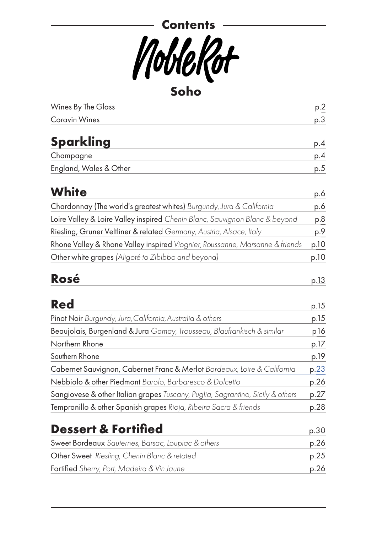

[Wines By The Glass](#page-1-0) p.[2](#page-1-0) [Coravin Wines](#page-2-0) p[.3](#page-2-0) **[Sparkling](#page-3-0)** p[.4](#page-3-0) Champagne p[.4](#page-3-1) England, Wales & [Other](#page-4-0) p.5 **[White](#page-5-0)** p[.6](#page-5-0) [Chardonnay \(The world's greatest whites\)](#page-5-1) *Burgundy, Jura & California* p.6 Loire Valley & Loire Valley inspired *[Chenin Blanc, Sauvignon Blanc & beyond](#page-6-0)* p[.8](#page-7-0) Riesling, Gruner Veltliner & related *Germany, Austria, Alsace, Italy* p[.9](#page-9-0) Rhone Valley & Rhone Valley inspired *[Viognier, Roussanne, Marsanne & friends](#page-11-0)* p[.10](#page-11-0) Other white grapes *(Aligoté to Zibibbo and beyond)* p.10 **[Rosé](#page-13-0)** p[.13](#page-13-0) **[Red](#page-14-0)** p[.15](#page-14-0) Pinot Noir *Burgundy, Jura, California, Australia & others* p.15

| Beaujolais, Burgenland & Jura Gamay, Trousseau, Blaufrankisch & similar        | p16  |
|--------------------------------------------------------------------------------|------|
| Northern Rhone                                                                 | p.17 |
| Southern Rhone                                                                 | p.19 |
| Cabernet Sauvignon, Cabernet Franc & Merlot Bordeaux, Loire & California       | p.23 |
| Nebbiolo & other Piedmont Barolo, Barbaresco & Dolcetto                        | p.26 |
| Sangiovese & other Italian grapes Tuscany, Puglia, Sagrantino, Sicily & others | p.27 |
| Tempranillo & other Spanish grapes Rioja, Ribeira Sacra & friends              | p.28 |

## **[Dessert & Fortified](#page-29-0)** p.[30](#page-29-0) Sweet Bordeaux *Sauternes, Barsac, Loupiac & others* p.26 Other Sweet *Riesling, Chenin Blanc & related* p.25 Fortified *Sherry, Port, Madeira & Vin Jaune* p.26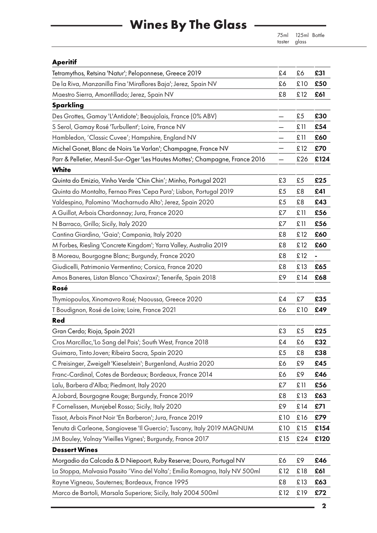# **Wines By The Glass**

75ml 125ml Bottle taster

#### <span id="page-1-0"></span>**Aperitif**

| Tetramythos, Retsina 'Natur'; Peloponnese, Greece 2019                        | £4  | £6   | £31  |
|-------------------------------------------------------------------------------|-----|------|------|
| De la Riva, Manzanilla Fina 'Miraflores Baja'; Jerez, Spain NV                | £6  | £10  | £50  |
| Maestro Sierra, Amontillado; Jerez, Spain NV                                  | £8  | £12  | £61  |
| <b>Sparkling</b>                                                              |     |      |      |
| Des Grottes, Gamay 'L'Antidote'; Beaujolais, France (0% ABV)                  | —   | £5   | £30  |
| S Serol, Gamay Rosé 'Turbullent'; Loire, France NV                            | —   | £11  | £54  |
| Hambledon, 'Classic Cuvee'; Hampshire, England NV                             |     | £ 11 | £60  |
| Michel Gonet, Blanc de Noirs 'Le Varlan'; Champagne, France NV                |     | £12  | £70  |
| Parr & Pelletier, Mesnil-Sur-Oger 'Les Hautes Mottes'; Champagne, France 2016 |     | £26  | £124 |
| <b>White</b>                                                                  |     |      |      |
| Quinta do Emizio, Vinho Verde 'Chin Chin'; Minho, Portugal 2021               | £3  | £5   | £25  |
| Quinta do Montalto, Fernao Pires 'Cepa Pura'; Lisbon, Portugal 2019           | £5  | £8   | £41  |
| Valdespino, Palomino 'Macharnudo Alto'; Jerez, Spain 2020                     | £5  | £8   | £43  |
| A Guillot, Arbois Chardonnay; Jura, France 2020                               | £7  | £ 11 | £56  |
| N Barraco, Grillo; Sicily, Italy 2020                                         | £7  | £11  | £56  |
| Cantina Giardino, 'Gaia'; Campania, Italy 2020                                | £8  | £12  | £60  |
| M Forbes, Riesling 'Concrete Kingdom'; Yarra Valley, Australia 2019           | £8  | £12  | £60  |
| B Moreau, Bourgogne Blanc; Burgundy, France 2020                              | £8  | £12  | -    |
| Giudicelli, Patrimonio Vermentino; Corsica, France 2020                       | £8  | £13  | £65  |
| Amos Baneres, Listan Blanco 'Chaxiraxi'; Tenerife, Spain 2018                 | £9  | £14  | £68  |
| Rosé                                                                          |     |      |      |
| Thymiopoulos, Xinomavro Rosé; Naoussa, Greece 2020                            | £4  | £7   | £35  |
| T Boudignon, Rosé de Loire; Loire, France 2021                                | £6  | £10  | £49  |
| Red                                                                           |     |      |      |
| Gran Cerdo; Rioja, Spain 2021                                                 | £3  | £5   | £25  |
| Cros Marcillac, 'Lo Sang del Pais'; South West, France 2018                   | £4  | £6   | £32  |
| Guimaro, Tinto Joven; Ribeira Sacra, Spain 2020                               | £5  | £8   | £38  |
| C Preisinger, Zweigelt 'Kieselstein'; Burgenland, Austria 2020                | £6  | £9   | £45  |
| Franc-Cardinal, Cotes de Bordeaux; Bordeaux, France 2014                      | £6  | £9   | £46  |
| Lalu, Barbera d'Alba; Piedmont, Italy 2020                                    | £7  | £11  | £56  |
| A Jobard, Bourgogne Rouge; Burgundy, France 2019                              | £8  | £13  | £63  |
| F Cornelissen, Munjebel Rosso; Sicily, Italy 2020                             | £9  | £14  | £71  |
| Tissot, Arbois Pinot Noir 'En Barberon'; Jura, France 2019                    | £10 | £16  | £79  |
| Tenuta di Carleone, Sangiovese 'Il Guercio'; Tuscany, Italy 2019 MAGNUM       | £10 | £15  | £154 |
| JM Bouley, Volnay 'Vieilles Vignes'; Burgundy, France 2017                    | £15 | £24  | £120 |
| <b>Dessert Wines</b>                                                          |     |      |      |
| Morgadio da Calcada & D Niepoort, Ruby Reserve; Douro, Portugal NV            | £6  | £9   | £46  |
| La Stoppa, Malvasia Passito 'Vino del Volta'; Emilia Romagna, Italy NV 500ml  | £12 | £18  | £61  |
| Rayne Vigneau, Sauternes; Bordeaux, France 1995                               | £8  | £13  | £63  |
| Marco de Bartoli, Marsala Superiore; Sicily, Italy 2004 500ml                 | £12 | £19  | £72  |
|                                                                               |     |      |      |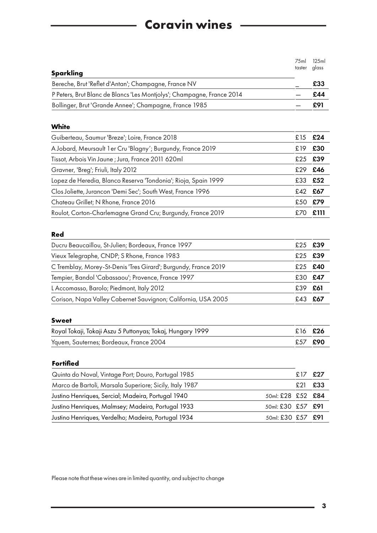## <span id="page-2-0"></span>**Coravin wines**

| <b>Sparkling</b>                                                       | 75 <sub>ml</sub><br>taster | 125ml<br>glass |
|------------------------------------------------------------------------|----------------------------|----------------|
| Bereche, Brut 'Reflet d'Antan'; Champagne, France NV                   |                            | £33            |
| P Peters, Brut Blanc de Blancs 'Les Montjolys'; Champagne, France 2014 |                            | £44            |
| Bollinger, Brut 'Grande Annee'; Champagne, France 1985                 |                            | £91            |
| <b>White</b>                                                           |                            |                |
| Guiberteau, Saumur 'Breze'; Loire, France 2018                         | £15                        | £24            |
| A Jobard, Meursault 1 er Cru 'Blagny'; Burgundy, France 2019           | £19                        | £30            |
| Tissot, Arbois Vin Jaune; Jura, France 2011 620ml                      | £25                        | £39            |
| Gravner, 'Breg'; Friuli, Italy 2012                                    | £29                        | £46            |
| Lopez de Heredia, Blanco Reserva 'Tondonia'; Rioja, Spain 1999         | £33                        | £52            |
| Clos Joliette, Jurancon 'Demi Sec'; South West, France 1996            | £42                        | £67            |
| Chateau Grillet; N Rhone, France 2016                                  | £50                        | £79            |
| Roulot, Corton-Charlemagne Grand Cru; Burgundy, France 2019            | £70                        | £111           |
| <b>Red</b>                                                             |                            |                |
| Ducru Beaucaillou, St-Julien; Bordeaux, France 1997                    | £25                        | £39            |
| Vieux Telegraphe, CNDP; S Rhone, France 1983                           | £25                        | £39            |
| C Tremblay, Morey-St-Denis 'Tres Girard'; Burgundy, France 2019        | £25                        | £40            |
| Tempier, Bandol 'Cabassaou'; Provence, France 1997                     | £30                        | £47            |
| L Accomasso, Barolo; Piedmont, Italy 2012                              | £39                        | £61            |
| Corison, Napa Valley Cabernet Sauvignon; California, USA 2005          | £43                        | £67            |
| <b>Sweet</b>                                                           |                            |                |
| Royal Tokaji, Tokaji Aszu 5 Puttonyas; Tokaj, Hungary 1999             | £16                        | £26            |
| Yquem, Sauternes; Bordeaux, France 2004                                | £57                        | £90            |
| <b>Fortified</b>                                                       |                            |                |
| Quinta do Noval, Vintage Port; Douro, Portugal 1985                    | £17                        | £27            |
| Marco de Bartoli, Marsala Superiore; Sicily, Italy 1987                | £21                        | £33            |
| Justino Henriques, Sercial; Madeira, Portugal 1940<br>50ml: £28        | £52                        | £84            |
| Justino Henriques, Malmsey; Madeira, Portugal 1933<br>50ml: £30        | £57                        | £91            |
| Justino Henriques, Verdelho; Madeira, Portugal 1934<br>50ml: £30 £57   |                            | £91            |

Please note that these wines are in limited quantity, and subject to change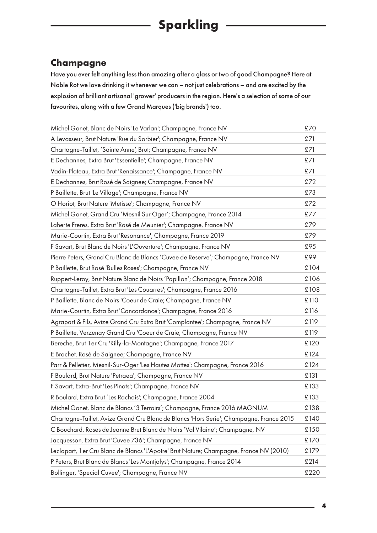#### <span id="page-3-1"></span><span id="page-3-0"></span>**Champagne**

Have you ever felt anything less than amazing after a glass or two of good Champagne? Here at Noble Rot we love drinking it whenever we can – not just celebrations – and are excited by the explosion of brilliant artisanal 'grower' producers in the region. Here's a selection of some of our favourites, along with a few Grand Marques ('big brands') too.

| Michel Gonet, Blanc de Noirs 'Le Varlan'; Champagne, France NV                          | £70  |
|-----------------------------------------------------------------------------------------|------|
| A Levasseur, Brut Nature 'Rue du Sorbier'; Champagne, France NV                         | £71  |
| Chartogne-Taillet, 'Sainte Anne', Brut; Champagne, France NV                            | £71  |
| E Dechannes, Extra Brut 'Essentielle'; Champagne, France NV                             | £71  |
| Vadin-Plateau, Extra Brut 'Renaissance'; Champagne, France NV                           | £71  |
| E Dechannes, Brut Rosé de Saignee; Champagne, France NV                                 | £72  |
| P Baillette, Brut 'Le Village'; Champagne, France NV                                    | £73  |
| O Horiot, Brut Nature 'Metisse'; Champagne, France NV                                   | £72  |
| Michel Gonet, Grand Cru 'Mesnil Sur Oger'; Champagne, France 2014                       | £77  |
| Laherte Freres, Extra Brut 'Rosé de Meunier'; Champagne, France NV                      | £79  |
| Marie-Courtin, Extra Brut 'Resonance'; Champagne, France 2019                           | £79  |
| F Savart, Brut Blanc de Noirs 'L'Ouverture'; Champagne, France NV                       | £95  |
| Pierre Peters, Grand Cru Blanc de Blancs 'Cuvee de Reserve'; Champagne, France NV       | £99  |
| P Baillette, Brut Rosé 'Bulles Roses'; Champagne, France NV                             | £104 |
| Ruppert-Leroy, Brut Nature Blanc de Noirs 'Papillon'; Champagne, France 2018            | £106 |
| Chartogne-Taillet, Extra Brut 'Les Couarres'; Champagne, France 2016                    | £108 |
| P Baillette, Blanc de Noirs 'Coeur de Craie; Champagne, France NV                       | £110 |
| Marie-Courtin, Extra Brut 'Concordance'; Champagne, France 2016                         | £116 |
| Agrapart & Fils, Avize Grand Cru Extra Brut 'Complantee'; Champagne, France NV          | £119 |
| P Baillette, Verzenay Grand Cru 'Coeur de Craie; Champagne, France NV                   | £119 |
| Bereche, Brut 1 er Cru 'Rilly-la-Montagne'; Champagne, France 2017                      | £120 |
| E Brochet, Rosé de Saignee; Champagne, France NV                                        | £124 |
| Parr & Pelletier, Mesnil-Sur-Oger 'Les Hautes Mottes'; Champagne, France 2016           | £124 |
| F Boulard, Brut Nature 'Petraea'; Champagne, France NV                                  | £131 |
| F Savart, Extra-Brut 'Les Pinots'; Champagne, France NV                                 | £133 |
| R Boulard, Extra Brut 'Les Rachais'; Champagne, France 2004                             | £133 |
| Michel Gonet, Blanc de Blancs '3 Terroirs'; Champagne, France 2016 MAGNUM               | £138 |
| Chartogne-Taillet, Avize Grand Cru Blanc de Blancs 'Hors Serie'; Champagne, France 2015 | £140 |
| C Bouchard, Roses de Jeanne Brut Blanc de Noirs 'Val Vilaine'; Champagne, NV            | £150 |
| Jacquesson, Extra Brut 'Cuvee 736'; Champagne, France NV                                | £170 |
| Leclapart, 1 er Cru Blanc de Blancs 'L'Apotre' Brut Nature; Champagne, France NV (2010) | £179 |
| P Peters, Brut Blanc de Blancs 'Les Montjolys'; Champagne, France 2014                  | £214 |
| Bollinger, 'Special Cuvee'; Champagne, France NV                                        | £220 |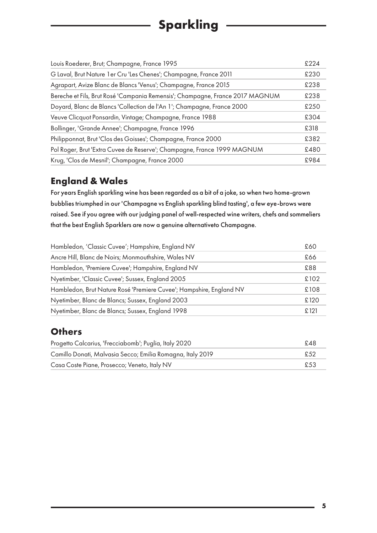# **Sparkling**

| £224 |
|------|
| £230 |
| £238 |
| £238 |
| £250 |
| £304 |
| £318 |
| £382 |
| £480 |
| £984 |
|      |

#### **England & Wales**

For years English sparkling wine has been regarded as a bit of a joke, so when two home-grown bubblies triumphed in our 'Champagne vs English sparkling blind tasting', a few eye-brows were raised. See if you agree with our judging panel of well-respected wine writers, chefs and sommeliers that the best English Sparklers are now a genuine alternativeto Champagne.

| Hambledon, 'Classic Cuvee'; Hampshire, England NV                   | £60  |
|---------------------------------------------------------------------|------|
| Ancre Hill, Blanc de Noirs; Monmouthshire, Wales NV                 | £66  |
| Hambledon, 'Premiere Cuvee'; Hampshire, England NV                  | £88  |
| Nyetimber, 'Classic Cuvee'; Sussex, England 2005                    | £102 |
| Hambledon, Brut Nature Rosé 'Premiere Cuvee'; Hampshire, England NV | £108 |
| Nyetimber, Blanc de Blancs; Sussex, England 2003                    | £120 |
| Nyetimber, Blanc de Blancs; Sussex, England 1998                    | £121 |

#### <span id="page-4-0"></span>**Others**

| Progetto Calcarius, 'Frecciabomb'; Puglia, Italy 2020      | £48  |
|------------------------------------------------------------|------|
| Camillo Donati, Malvasia Secco; Emilia Romagna, Italy 2019 | £.52 |
| Casa Coste Piane, Prosecco; Veneto, Italy NV               | £53  |
|                                                            |      |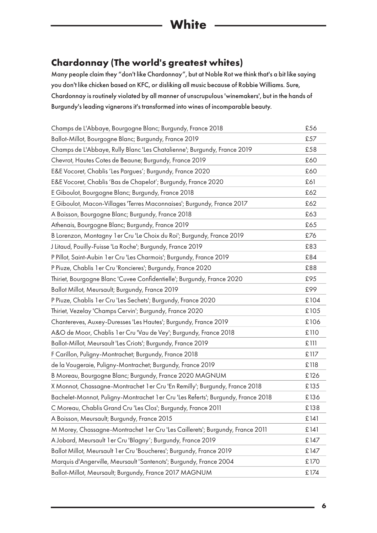### <span id="page-5-1"></span><span id="page-5-0"></span>**Chardonnay (The world's greatest whites)**

Many people claim they "don't like Chardonnay", but at Noble Rot we think that's a bit like saying you don't like chicken based on KFC, or disliking all music because of Robbie Williams. Sure, Chardonnay is routinely violated by all manner of unscrupulous 'winemakers', but in the hands of Burgundy's leading vignerons it's transformed into wines of incomparable beauty.

| Champs de L'Abbaye, Bourgogne Blanc; Burgundy, France 2018                        | £56  |
|-----------------------------------------------------------------------------------|------|
| Ballot-Millot, Bourgogne Blanc; Burgundy, France 2019                             | £57  |
| Champs de L'Abbaye, Rully Blanc 'Les Chatalienne'; Burgundy, France 2019          | £58  |
| Chevrot, Hautes Cotes de Beaune; Burgundy, France 2019                            | £60  |
| E&E Vocoret, Chablis 'Les Pargues'; Burgundy, France 2020                         | £60  |
| E&E Vocoret, Chablis 'Bas de Chapelot'; Burgundy, France 2020                     | £61  |
| E Giboulot, Bourgogne Blanc; Burgundy, France 2018                                | £62  |
| E Giboulot, Macon-Villages 'Terres Maconnaises'; Burgundy, France 2017            | £62  |
| A Boisson, Bourgogne Blanc; Burgundy, France 2018                                 | £63  |
| Athenais, Bourgogne Blanc; Burgundy, France 2019                                  | £65  |
| B Lorenzon, Montagny 1 er Cru 'Le Choix du Roi'; Burgundy, France 2019            | £76  |
| J Litaud, Pouilly-Fuisse 'La Roche'; Burgundy, France 2019                        | £83  |
| P Pillot, Saint-Aubin 1 er Cru 'Les Charmois'; Burgundy, France 2019              | £84  |
| P Piuze, Chablis 1 er Cru 'Roncieres'; Burgundy, France 2020                      | £88  |
| Thiriet, Bourgogne Blanc 'Cuvee Confidentielle'; Burgundy, France 2020            | £95  |
| Ballot Millot, Meursault; Burgundy, France 2019                                   | £99  |
| P Piuze, Chablis 1 er Cru 'Les Sechets'; Burgundy, France 2020                    | £104 |
| Thiriet, Vezelay 'Champs Cervin'; Burgundy, France 2020                           | £105 |
| Chantereves, Auxey-Duresses 'Les Hautes'; Burgundy, France 2019                   | £106 |
| A&O de Moor, Chablis 1 er Cru 'Vau de Vey'; Burgundy, France 2018                 | £110 |
| Ballot-Millot, Meursault 'Les Criots'; Burgundy, France 2019                      | £111 |
| F Carillon, Puligny-Montrachet; Burgundy, France 2018                             | £117 |
| de la Vougeraie, Puligny-Montrachet; Burgundy, France 2019                        | £118 |
| B Moreau, Bourgogne Blanc; Burgundy, France 2020 MAGNUM                           | £126 |
| X Monnot, Chassagne-Montrachet 1 er Cru 'En Remilly'; Burgundy, France 2018       | £135 |
| Bachelet-Monnot, Puligny-Montrachet 1 er Cru 'Les Referts'; Burgundy, France 2018 | £136 |
| C Moreau, Chablis Grand Cru 'Les Clos'; Burgundy, France 2011                     | £138 |
| A Boisson, Meursault; Burgundy, France 2015                                       | £141 |
| M Morey, Chassagne-Montrachet 1 er Cru 'Les Caillerets'; Burgundy, France 2011    | £141 |
| A Jobard, Meursault 1 er Cru 'Blagny'; Burgundy, France 2019                      | £147 |
| Ballot Millot, Meursault 1 er Cru 'Boucheres'; Burgundy, France 2019              | £147 |
| Marquis d'Angerville, Meursault 'Santenots'; Burgundy, France 2004                | £170 |
| Ballot-Millot, Meursault; Burgundy, France 2017 MAGNUM                            | £174 |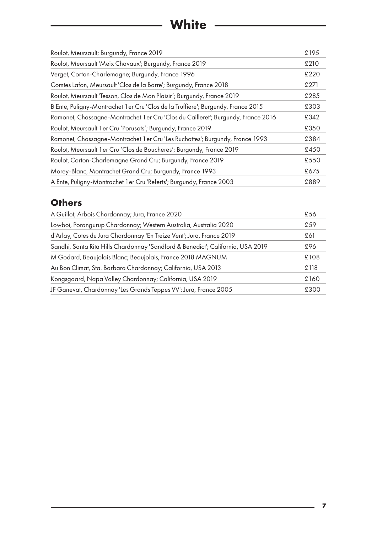# **White**

<span id="page-6-0"></span>

| Roulot, Meursault; Burgundy, France 2019                                          | £195 |
|-----------------------------------------------------------------------------------|------|
| Roulot, Meursault 'Meix Chavaux'; Burgundy, France 2019                           | £210 |
| Verget, Corton-Charlemagne; Burgundy, France 1996                                 | £220 |
| Comtes Lafon, Meursault 'Clos de la Barre'; Burgundy, France 2018                 | £271 |
| Roulot, Meursault 'Tesson, Clos de Mon Plaisir'; Burgundy, France 2019            | £285 |
| B Ente, Puligny-Montrachet 1 er Cru 'Clos de la Truffiere'; Burgundy, France 2015 | £303 |
| Ramonet, Chassagne-Montrachet 1 er Cru 'Clos du Cailleret'; Burgundy, France 2016 | £342 |
| Roulot, Meursault 1 er Cru 'Porusots'; Burgundy, France 2019                      | £350 |
| Ramonet, Chassagne-Montrachet 1 er Cru 'Les Ruchottes'; Burgundy, France 1993     | £384 |
| Roulot, Meursault 1 er Cru 'Clos de Boucheres'; Burgundy, France 2019             | £450 |
| Roulot, Corton-Charlemagne Grand Cru; Burgundy, France 2019                       | £550 |
| Morey-Blanc, Montrachet Grand Cru; Burgundy, France 1993                          | £675 |
| A Ente, Puligny-Montrachet 1 er Cru 'Referts'; Burgundy, France 2003              | £889 |

### **Others**

| A Guillot, Arbois Chardonnay; Jura, France 2020                                 | £56  |
|---------------------------------------------------------------------------------|------|
| Lowboi, Porongurup Chardonnay; Western Australia, Australia 2020                | £59  |
| d'Arlay, Cotes du Jura Chardonnay 'En Treize Vent'; Jura, France 2019           | £61  |
| Sandhi, Santa Rita Hills Chardonnay 'Sandford & Benedict'; California, USA 2019 | £96  |
| M Godard, Beaujolais Blanc; Beaujolais, France 2018 MAGNUM                      | £108 |
| Au Bon Climat, Sta. Barbara Chardonnay; California, USA 2013                    | £118 |
| Kongsgaard, Napa Valley Chardonnay; California, USA 2019                        | £160 |
| JF Ganevat, Chardonnay 'Les Grands Teppes VV'; Jura, France 2005                | £300 |
|                                                                                 |      |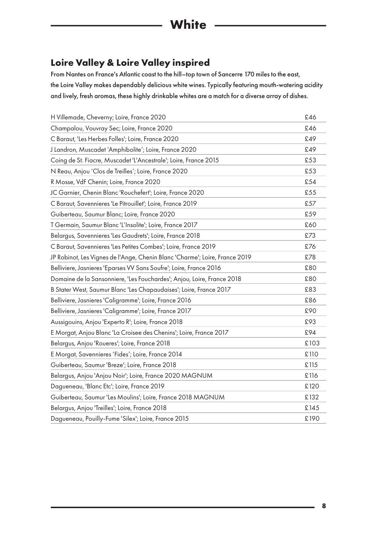#### <span id="page-7-0"></span>**Loire Valley & Loire Valley inspired**

From Nantes on France's Atlantic coast to the hill–top town of Sancerre 170 miles to the east, the Loire Valley makes dependably delicious white wines. Typically featuring mouth-watering acidity and lively, fresh aromas, these highly drinkable whites are a match for a diverse array of dishes.

| H Villemade, Cheverny; Loire, France 2020                                   | £46  |
|-----------------------------------------------------------------------------|------|
| Champalou, Vouvray Sec; Loire, France 2020                                  | £46  |
| C Baraut, 'Les Herbes Folles'; Loire, France 2020                           | £49  |
| J Landron, Muscadet 'Amphibolite'; Loire, France 2020                       | £49  |
| Coing de St. Fiacre, Muscadet 'L'Ancestrale'; Loire, France 2015            | £53  |
| N Reau, Anjou 'Clos de Treilles'; Loire, France 2020                        | £53  |
| R Mosse, VdF Chenin; Loire, France 2020                                     | £54  |
| JC Garnier, Chenin Blanc 'Rouchefert'; Loire, France 2020                   | £55  |
| C Baraut, Savennieres 'Le Pitrouillet'; Loire, France 2019                  | £57  |
| Guiberteau, Saumur Blanc; Loire, France 2020                                | £59  |
| T Germain, Saumur Blanc 'L'Insolite'; Loire, France 2017                    | £60  |
| Belargus, Savennieres 'Les Gaudrets'; Loire, France 2018                    | £73  |
| C Baraut, Savennieres 'Les Petites Combes'; Loire, France 2019              | £76  |
| JP Robinot, Les Vignes de l'Ange, Chenin Blanc 'Charme'; Loire, France 2019 | £78  |
| Belliviere, Jasnieres 'Eparses VV Sans Soufre'; Loire, France 2016          | £80  |
| Domaine de la Sansonniere, 'Les Fouchardes'; Anjou, Loire, France 2018      | £80  |
| B Stater West, Saumur Blanc 'Les Chapaudaises'; Loire, France 2017          | £83  |
| Belliviere, Jasnieres 'Caligramme'; Loire, France 2016                      | £86  |
| Belliviere, Jasnieres 'Caligramme'; Loire, France 2017                      | £90  |
| Aussigouins, Anjou 'Experto R'; Loire, France 2018                          | £93  |
| E Morgat, Anjou Blanc 'La Croisee des Chenins'; Loire, France 2017          | £94  |
| Belargus, Anjou 'Roueres'; Loire, France 2018                               | £103 |
| E Morgat, Savennieres 'Fides'; Loire, France 2014                           | £110 |
| Guiberteau, Saumur 'Breze'; Loire, France 2018                              | £115 |
| Belargus, Anjou 'Anjou Noir'; Loire, France 2020 MAGNUM                     | £116 |
| Dagueneau, 'Blanc Etc'; Loire, France 2019                                  | £120 |
| Guiberteau, Saumur 'Les Moulins'; Loire, France 2018 MAGNUM                 | £132 |
| Belargus, Anjou 'Treilles'; Loire, France 2018                              | £145 |
| Dagueneau, Pouilly-Fume 'Silex'; Loire, France 2015                         | £190 |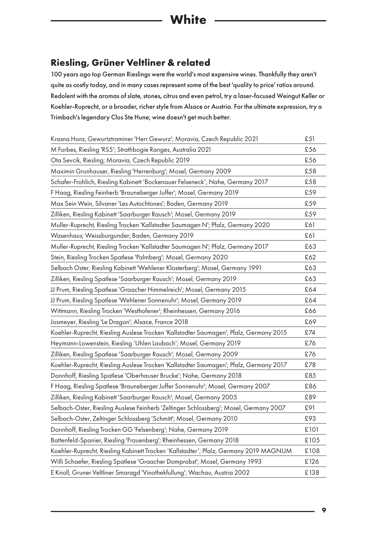#### **Riesling, Grüner Veltliner & related**

100 years ago top German Rieslings were the world's most expensive wines. Thankfully they aren't quite as costly today, and in many cases represent some of the best 'quality to price' ratios around. Redolent with the aromas of slate, stones, citrus and even petrol, try a laser-focused Weingut Keller or Koehler-Ruprecht, or a broader, richer style from Alsace or Austria. For the ultimate expression, try a Trimbach's legendary Clos Ste Hune; wine doesn't get much better.

| Krasna Hora, Gewurtztraminer 'Herr Gewurz'; Moravia, Czech Republic 2021               | £51  |
|----------------------------------------------------------------------------------------|------|
| M Forbes, Riesling 'RS5'; Strathbogie Ranges, Australia 2021                           | £56  |
| Ota Sevcik, Riesling; Moravia, Czech Republic 2019                                     | £56  |
| Maximin Grunhauser, Riesling 'Herrenburg'; Mosel, Germany 2009                         | £58  |
| Schafer-Frohlich, Riesling Kabinett 'Bockenauer Felseneck'; Nahe, Germany 2017         | £58  |
| F Haag, Riesling Feinherb 'Brauneberger Juffer'; Mosel, Germany 2019                   | £59  |
| Max Sein Wein, Silvaner 'Les Autochtones'; Baden, Germany 2019                         | £59  |
| Zilliken, Riesling Kabinett 'Saarburger Rausch'; Mosel, Germany 2019                   | £59  |
| Muller-Ruprecht, Riesling Trocken 'Kallstadter Saumagen N'; Pfalz, Germany 2020        | £61  |
| Wasenhaus; Weissburgunder; Baden, Germany 2019                                         | £61  |
| Muller-Ruprecht, Riesling Trocken 'Kallstadter Saumagen N'; Pfalz, Germany 2017        | £63  |
| Stein, Riesling Trocken Spatlese 'Palmberg'; Mosel, Germany 2020                       | £62  |
| Selbach Oster, Riesling Kabinett 'Wehlener Klosterberg'; Mosel, Germany 1991           | £63  |
| Zilliken, Riesling Spatlese 'Saarburger Rausch'; Mosel, Germany 2019                   | £63  |
| JJ Prum, Riesling Spatlese 'Graacher Himmelreich'; Mosel, Germany 2015                 | £64  |
| JJ Prum, Riesling Spatlese 'Wehlener Sonnenuhr'; Mosel, Germany 2019                   | £64  |
| Wittmann, Riesling Trocken 'Westhofener'; Rheinhessen, Germany 2016                    | £66  |
| Josmeyer, Riesling 'Le Dragon'; Alsace, France 2018                                    | £69  |
| Koehler-Ruprecht, Riesling Auslese Trocken 'Kallstadter Saumagen'; Pfalz, Germany 2015 | £74  |
| Heymann-Lowenstein, Riesling 'Uhlen Laubach'; Mosel, Germany 2019                      | £76  |
| Zilliken, Riesling Spatlese 'Saarburger Rausch'; Mosel, Germany 2009                   | £76  |
| Koehler-Ruprecht, Riesling Auslese Trocken 'Kallstadter Saumagen'; Pfalz, Germany 2017 | £78  |
| Donnhoff, Riesling Spatlese 'Oberhauser Brucke'; Nahe, Germany 2018                    | £85  |
| F Haag, Riesling Spatlese 'Brauneberger Juffer Sonnenuhr'; Mosel, Germany 2007         | £86  |
| Zilliken, Riesling Kabinett 'Saarburger Rausch'; Mosel, Germany 2005                   | £89  |
| Selbach-Oster, Riesling Auslese Feinherb 'Zeltinger Schlossberg'; Mosel, Germany 2007  | £91  |
| Selbach-Oster, Zeltinger Schlossberg 'Schmitt'; Mosel, Germany 2010                    | £93  |
| Donnhoff, Riesling Trocken GG 'Felsenberg'; Nahe, Germany 2019                         | £101 |
| Battenfeld-Spanier, Riesling 'Frauenberg'; Rheinhessen, Germany 2018                   | £105 |
| Koehler-Ruprecht, Riesling Kabinett Trocken 'Kallstadter'; Pfalz, Germany 2019 MAGNUM  | £108 |
| Willi Schaefer, Riesling Spatlese 'Graacher Domprobst'; Mosel, Germany 1993            | £126 |
| E Knoll, Gruner Veltliner Smaragd 'Vinothekfullung'; Wachau, Austria 2002              | £138 |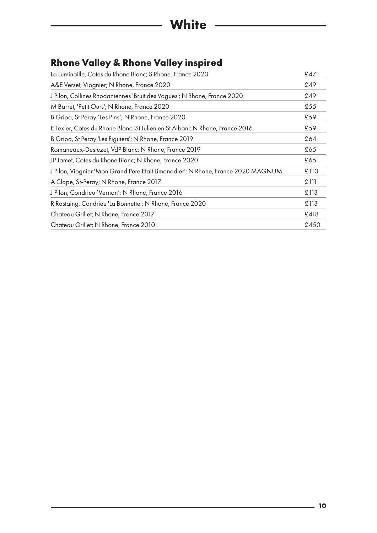## <span id="page-9-0"></span>**Rhone Valley & Rhone Valley inspired**

| La Luminaille, Cotes du Rhone Blanc; S Rhone, France 2020                        | £47  |
|----------------------------------------------------------------------------------|------|
| A&E Verset, Viognier; N Rhone, France 2020                                       | £49  |
| J Pilon, Collines Rhodaniennes 'Bruit des Vagues'; N Rhone, France 2020          | £49  |
| M Barret, 'Petit Ours'; N Rhone, France 2020                                     | £55  |
| B Gripa, St Peray 'Les Pins'; N Rhone, France 2020                               | £59  |
| E Texier, Cotes du Rhone Blanc 'St Julien en St Alban'; N Rhone, France 2016     | £59  |
| B Gripa, St Peray 'Les Figuiers'; N Rhone, France 2019                           | £64  |
| Romaneaux-Destezet, VdP Blanc; N Rhone, France 2019                              | £65  |
| JP Jamet, Cotes du Rhone Blanc; N Rhone, France 2020                             | £65  |
| J Pilon, Viognier 'Mon Grand Pere Etait Limonadier'; N Rhone, France 2020 MAGNUM | £110 |
| A Clape, St-Peray; N Rhone, France 2017                                          | £111 |
| J Pilon, Condrieu 'Vernon'; N Rhone, France 2016                                 | £113 |
| R Rostaing, Condrieu 'La Bonnette'; N Rhone, France 2020                         | £113 |
| Chateau Grillet; N Rhone, France 2017                                            | £418 |
| Chateau Grillet; N Rhone, France 2010                                            | £450 |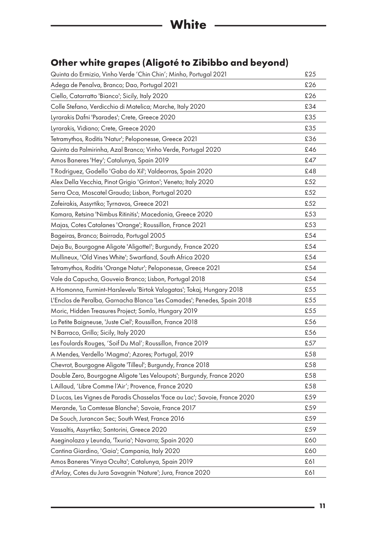## **Other white grapes (Aligoté to Zibibbo and beyond)**

| Quinta do Ermizio, Vinho Verde 'Chin Chin'; Minho, Portugal 2021            | £25 |
|-----------------------------------------------------------------------------|-----|
| Adega de Penalva, Branco; Dao, Portugal 2021                                | £26 |
| Ciello, Catarratto 'Bianco'; Sicily, Italy 2020                             | £26 |
| Colle Stefano, Verdicchio di Matelica; Marche, Italy 2020                   | £34 |
| Lyrarakis Dafni 'Psarades'; Crete, Greece 2020                              | £35 |
| Lyrarakis, Vidiano; Crete, Greece 2020                                      | £35 |
| Tetramythos, Roditis 'Natur'; Peloponesse, Greece 2021                      | £36 |
| Quinta da Palmirinha, Azal Branco; Vinho Verde, Portugal 2020               | £46 |
| Amos Baneres 'Hey'; Catalunya, Spain 2019                                   | £47 |
| T Rodriguez, Godello 'Gaba do Xil'; Valdeorras, Spain 2020                  | £48 |
| Alex Della Vecchia, Pinot Grigio 'Grinton'; Veneto; Italy 2020              | £52 |
| Serra Oca, Moscatel Graudo; Lisbon, Portugal 2020                           | £52 |
| Zafeirakis, Assyrtiko; Tyrnavos, Greece 2021                                | £52 |
| Kamara, Retsina 'Nimbus Ritinitis'; Macedonia, Greece 2020                  | £53 |
| Majas, Cotes Catalanes 'Orange'; Roussillon, France 2021                    | £53 |
| Bageiras, Branco; Bairrada, Portugal 2005                                   | £54 |
| Deja Bu, Bourgogne Aligote 'Aligotte!'; Burgundy, France 2020               | £54 |
| Mullineux, 'Old Vines White'; Swartland, South Africa 2020                  | £54 |
| Tetramythos, Roditis 'Orange Natur'; Peloponesse, Greece 2021               | £54 |
| Vale da Capucha, Gouveio Branco; Lisbon, Portugal 2018                      | £54 |
| A Homonna, Furmint-Harslevelu 'Birtok Valogatas'; Tokaj, Hungary 2018       | £55 |
| L'Enclos de Peralba, Garnacha Blanca 'Les Camades'; Penedes, Spain 2018     | £55 |
| Moric, Hidden Treasures Project; Somlo, Hungary 2019                        | £55 |
| La Petite Baigneuse, 'Juste Ciel'; Roussillon, France 2018                  | £56 |
| N Barraco, Grillo; Sicily, Italy 2020                                       | £56 |
| Les Foulards Rouges, 'Soif Du Mal'; Roussillon, France 2019                 | £57 |
| A Mendes, Verdello 'Magma'; Azores; Portugal, 2019                          | £58 |
| Chevrot, Bourgogne Aligote 'Tilleul'; Burgundy, France 2018                 | £58 |
| Double Zero, Bourgogne Aligote 'Les Veloupots'; Burgundy, France 2020       | £58 |
| L Aillaud, 'Libre Comme l'Air'; Provence, France 2020                       | £58 |
| D Lucas, Les Vignes de Paradis Chasselas 'Face au Lac'; Savoie, France 2020 | £59 |
| Merande, 'La Comtesse Blanche'; Savoie, France 2017                         | £59 |
| De Souch, Jurancon Sec; South West, France 2016                             | £59 |
| Vassaltis, Assyrtiko; Santorini, Greece 2020                                | £59 |
| Aseginolaza y Leunda, 'Txuria'; Navarra; Spain 2020                         | £60 |
| Cantina Giardino, 'Gaia'; Campania, Italy 2020                              | £60 |
| Amos Baneres 'Vinya Oculta'; Catalunya, Spain 2019                          | £61 |
| d'Arlay, Cotes du Jura Savagnin 'Nature'; Jura, France 2020                 | £61 |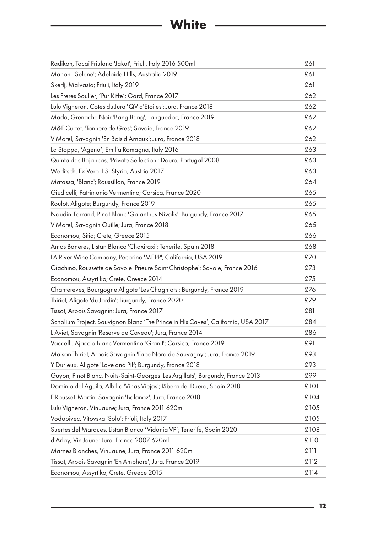# **White** ————————————————————

<span id="page-11-0"></span>

| Radikon, Tocai Friulano 'Jakot'; Friuli, Italy 2016 500ml                         | £61  |
|-----------------------------------------------------------------------------------|------|
| Manon, 'Selene'; Adelaide Hills, Australia 2019                                   | £61  |
| Skerlj, Malvasia; Friuli, Italy 2019                                              | £61  |
| Les Freres Soulier, 'Pur Kiffe'; Gard, France 2017                                | £62  |
| Lulu Vigneron, Cotes du Jura 'QV d'Etoiles'; Jura, France 2018                    | £62  |
| Mada, Grenache Noir 'Bang Bang'; Languedoc, France 2019                           | £62  |
| M&F Curtet, 'Tonnere de Gres'; Savoie, France 2019                                | £62  |
| V Morel, Savagnin 'En Bois d'Arnaux'; Jura, France 2018                           | £62  |
| La Stoppa, 'Ageno'; Emilia Romagna, Italy 2016                                    | £63  |
| Quinta das Bajancas, 'Private Sellection'; Douro, Portugal 2008                   | £63  |
| Werlitsch, Ex Vero II S; Styria, Austria 2017                                     | £63  |
| Matassa, 'Blanc'; Roussillon, France 2019                                         | £64  |
| Giudicelli, Patrimonio Vermentino; Corsica, France 2020                           | £65  |
| Roulot, Aligote; Burgundy, France 2019                                            | £65  |
| Naudin-Ferrand, Pinot Blanc 'Galanthus Nivalis'; Burgundy, France 2017            | £65  |
| V Morel, Savagnin Ouille; Jura, France 2018                                       | £65  |
| Economou, Sitia; Crete, Greece 2015                                               | £66  |
| Amos Baneres, Listan Blanco 'Chaxiraxi'; Tenerife, Spain 2018                     | £68  |
| LA River Wine Company, Pecorino 'MEPP'; California, USA 2019                      | £70  |
| Giachino, Roussette de Savoie 'Prieure Saint Christophe'; Savoie, France 2016     | £73  |
| Economou, Assyrtiko; Crete, Greece 2014                                           | £75  |
| Chantereves, Bourgogne Aligote 'Les Chagniots'; Burgundy, France 2019             | £76  |
| Thiriet, Aligote 'du Jardin'; Burgundy, France 2020                               | £79  |
| Tissot, Arbois Savagnin; Jura, France 2017                                        | £81  |
| Scholium Project, Sauvignon Blanc 'The Prince in His Caves'; California, USA 2017 | £84  |
| L Aviet, Savagnin 'Reserve de Caveau'; Jura, France 2014                          | £86  |
| Vaccelli, Ajaccio Blanc Vermentino 'Granit'; Corsica, France 2019                 | £91  |
| Maison Thiriet, Arbois Savagnin 'Face Nord de Sauvagny'; Jura, France 2019        | £93  |
| Y Durieux, Aligote 'Love and Pif'; Burgundy, France 2018                          | £93  |
| Guyon, Pinot Blanc, Nuits-Saint-Georges 'Les Argillats'; Burgundy, France 2013    | £99  |
| Dominio del Aguila, Albillo 'Vinas Viejas'; Ribera del Duero, Spain 2018          | £101 |
| F Rousset-Martin, Savagnin 'Balanoz'; Jura, France 2018                           | £104 |
| Lulu Vigneron, Vin Jaune; Jura, France 2011 620ml                                 | £105 |
| Vodopivec, Vitovska 'Solo'; Friuli, Italy 2017                                    | £105 |
| Suertes del Marques, Listan Blanco 'Vidonia VP'; Tenerife, Spain 2020             | £108 |
| d'Arlay, Vin Jaune; Jura, France 2007 620ml                                       | £110 |
| Marnes Blanches, Vin Jaune; Jura, France 2011 620ml                               | £111 |
| Tissot, Arbois Savagnin 'En Amphore'; Jura, France 2019                           | £112 |
| Economou, Assyrtiko; Crete, Greece 2015                                           | £114 |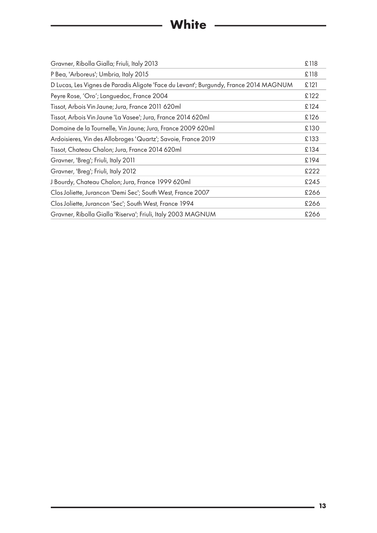# **White**

| Gravner, Ribolla Gialla; Friuli, Italy 2013                                           | £118 |
|---------------------------------------------------------------------------------------|------|
| P Bea, 'Arboreus'; Umbria, Italy 2015                                                 | £118 |
| D Lucas, Les Vignes de Paradis Aligote 'Face du Levant'; Burgundy, France 2014 MAGNUM | £121 |
| Peyre Rose, 'Oro'; Languedoc, France 2004                                             | £122 |
| Tissot, Arbois Vin Jaune; Jura, France 2011 620ml                                     | £124 |
| Tissot, Arbois Vin Jaune 'La Vasee'; Jura, France 2014 620ml                          | £126 |
| Domaine de la Tournelle, Vin Jaune; Jura, France 2009 620ml                           | £130 |
| Ardoisieres, Vin des Allobroges 'Quartz'; Savoie, France 2019                         | £133 |
| Tissot, Chateau Chalon; Jura, France 2014 620ml                                       | £134 |
| Gravner, 'Breg'; Friuli, Italy 2011                                                   | £194 |
| Gravner, 'Breg'; Friuli, Italy 2012                                                   | £222 |
| J Bourdy, Chateau Chalon; Jura, France 1999 620ml                                     | £245 |
| Clos Joliette, Jurancon 'Demi Sec'; South West, France 2007                           | £266 |
| Clos Joliette, Jurancon 'Sec'; South West, France 1994                                | £266 |
| Gravner, Ribolla Gialla 'Riserva'; Friuli, Italy 2003 MAGNUM                          | £266 |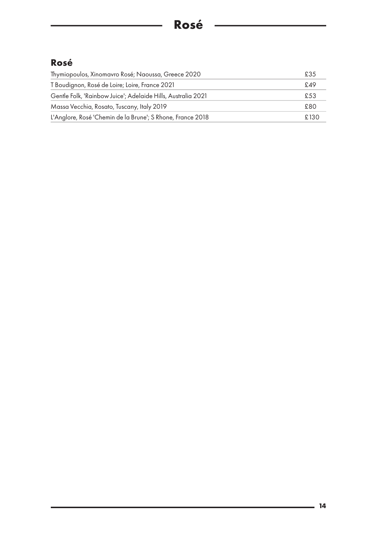## <span id="page-13-0"></span>**Rosé**

| Thymiopoulos, Xinomavro Rosé; Naoussa, Greece 2020           | £35  |
|--------------------------------------------------------------|------|
| T Boudignon, Rosé de Loire; Loire, France 2021               | £49  |
| Gentle Folk, 'Rainbow Juice'; Adelaide Hills, Australia 2021 | £53  |
| Massa Vecchia, Rosato, Tuscany, Italy 2019                   | £80  |
| L'Anglore, Rosé 'Chemin de la Brune'; S Rhone, France 2018   | £130 |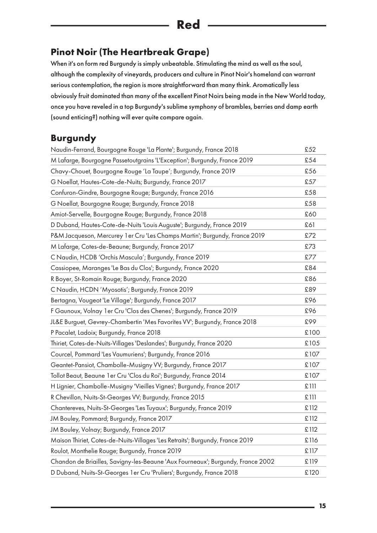## <span id="page-14-0"></span>**Pinot Noir (The Heartbreak Grape)**

When it's on form red Burgundy is simply unbeatable. Stimulating the mind as well as the soul, although the complexity of vineyards, producers and culture in Pinot Noir's homeland can warrant serious contemplation, the region is more straightforward than many think. Aromatically less obviously fruit dominated than many of the excellent Pinot Noirs being made in the New World today, once you have reveled in a top Burgundy's sublime symphony of brambles, berries and damp earth (sound enticing?) nothing will ever quite compare again.

### **Burgundy**

| Naudin-Ferrand, Bourgogne Rouge 'La Plante'; Burgundy, France 2018              | £52  |
|---------------------------------------------------------------------------------|------|
| M Lafarge, Bourgogne Passetoutgrains 'L'Exception'; Burgundy, France 2019       | £54  |
| Chavy-Chouet, Bourgogne Rouge 'La Taupe'; Burgundy, France 2019                 | £56  |
| G Noellat, Hautes-Cote-de-Nuits; Burgundy, France 2017                          | £57  |
| Confuron-Gindre, Bourgogne Rouge; Burgundy, France 2016                         | £58  |
| G Noellat, Bourgogne Rouge; Burgundy, France 2018                               | £58  |
| Amiot-Servelle, Bourgogne Rouge; Burgundy, France 2018                          | £60  |
| D Duband, Hautes-Cote-de-Nuits 'Louis Auguste'; Burgundy, France 2019           | £61  |
| P&M Jacqueson, Mercurey 1 er Cru 'Les Champs Martin'; Burgundy, France 2019     | £72  |
| M Lafarge, Cotes-de-Beaune; Burgundy, France 2017                               | £73  |
| C Naudin, HCDB 'Orchis Mascula'; Burgundy, France 2019                          | £77  |
| Cassiopee, Maranges 'Le Bas du Clos'; Burgundy, France 2020                     | £84  |
| R Boyer, St-Romain Rouge; Burgundy, France 2020                                 | £86  |
| C Naudin, HCDN 'Myosotis'; Burgundy, France 2019                                | £89  |
| Bertagna, Vougeot 'Le Village'; Burgundy, France 2017                           | £96  |
| F Gaunoux, Volnay 1 er Cru 'Clos des Chenes'; Burgundy, France 2019             | £96  |
| JL&E Burguet, Gevrey-Chambertin 'Mes Favorites VV'; Burgundy, France 2018       | £99  |
| P Pacalet, Ladoix; Burgundy, France 2018                                        | £100 |
| Thiriet, Cotes-de-Nuits-Villages 'Deslandes'; Burgundy, France 2020             | £105 |
| Courcel, Pommard 'Les Vaumuriens'; Burgundy, France 2016                        | £107 |
| Geantet-Pansiot, Chambolle-Musigny VV; Burgundy, France 2017                    | £107 |
| Tollot Beaut, Beaune 1 er Cru 'Clos du Roi'; Burgundy, France 2014              | £107 |
| H Lignier, Chambolle-Musigny 'Vieilles Vignes'; Burgundy, France 2017           | £111 |
| R Chevillon, Nuits-St-Georges VV; Burgundy, France 2015                         | £111 |
| Chantereves, Nuits-St-Georges 'Les Tuyaux'; Burgundy, France 2019               | £112 |
| JM Bouley, Pommard; Burgundy, France 2017                                       | £112 |
| JM Bouley, Volnay; Burgundy, France 2017                                        | £112 |
| Maison Thiriet, Cotes-de-Nuits-Villages 'Les Retraits'; Burgundy, France 2019   | £116 |
| Roulot, Monthelie Rouge; Burgundy, France 2019                                  | £117 |
| Chandon de Briailles, Savigny-les-Beaune 'Aux Fourneaux'; Burgundy, France 2002 | £119 |
| D Duband, Nuits-St-Georges 1 er Cru 'Pruliers'; Burgundy, France 2018           | £120 |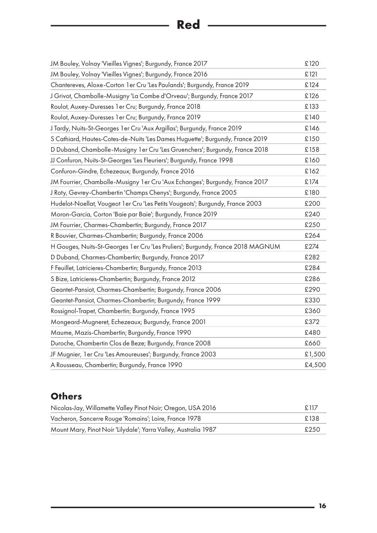# **Red**

| JM Bouley, Volnay 'Vieilles Vignes'; Burgundy, France 2017                       | £120   |
|----------------------------------------------------------------------------------|--------|
| JM Bouley, Volnay 'Vieilles Vignes'; Burgundy, France 2016                       | £121   |
| Chantereves, Aloxe-Corton 1 er Cru 'Les Paulands'; Burgundy, France 2019         | £124   |
| J Grivot, Chambolle-Musigny 'La Combe d'Orveau'; Burgundy, France 2017           | £126   |
| Roulot, Auxey-Duresses 1 er Cru; Burgundy, France 2018                           | £133   |
| Roulot, Auxey-Duresses 1 er Cru; Burgundy, France 2019                           | £140   |
| J Tardy, Nuits-St-Georges 1 er Cru 'Aux Argillas'; Burgundy, France 2019         | £146   |
| S Cathiard, Hautes-Cotes-de-Nuits 'Les Dames Huguette'; Burgundy, France 2019    | £150   |
| D Duband, Chambolle-Musigny 1 er Cru 'Les Gruenchers'; Burgundy, France 2018     | £158   |
| JJ Confuron, Nuits-St-Georges 'Les Fleuriers'; Burgundy, France 1998             | £160   |
| Confuron-Gindre, Echezeaux; Burgundy, France 2016                                | £162   |
| JM Fourrier, Chambolle-Musigny 1er Cru 'Aux Echanges'; Burgundy, France 2017     | £174   |
| J Roty, Gevrey-Chambertin 'Champs Chenys'; Burgundy, France 2005                 | £180   |
| Hudelot-Noellat, Vougeot 1 er Cru 'Les Petits Vougeots'; Burgundy, France 2003   | £200   |
| Moron-Garcia, Corton 'Baie par Baie'; Burgundy, France 2019                      | £240   |
| JM Fourrier, Charmes-Chambertin; Burgundy, France 2017                           | £250   |
| R Bouvier, Charmes-Chambertin; Burgundy, France 2006                             | £264   |
| H Gouges, Nuits-St-Georges 1 er Cru 'Les Pruliers'; Burgundy, France 2018 MAGNUM | £274   |
| D Duband, Charmes-Chambertin; Burgundy, France 2017                              | £282   |
| F Feuillet, Latricieres-Chambertin; Burgundy, France 2013                        | £284   |
| S Bize, Latricieres-Chambertin; Burgundy, France 2012                            | £286   |
| Geantet-Pansiot, Charmes-Chambertin; Burgundy, France 2006                       | £290   |
| Geantet-Pansiot, Charmes-Chambertin; Burgundy, France 1999                       | £330   |
| Rossignol-Trapet, Chambertin; Burgundy, France 1995                              | £360   |
| Mongeard-Mugneret, Echezeaux; Burgundy, France 2001                              | £372   |
| Maume, Mazis-Chambertin; Burgundy, France 1990                                   | £480   |
| Duroche, Chambertin Clos de Beze; Burgundy, France 2008                          | £660   |
| JF Mugnier, 1er Cru 'Les Amoureuses'; Burgundy, France 2003                      | £1,500 |
| A Rousseau, Chambertin; Burgundy, France 1990                                    | £4,500 |

## **Others**

| Nicolas-Jay, Willamette Valley Pinot Noir; Oregon, USA 2016     |      |
|-----------------------------------------------------------------|------|
| Vacheron, Sancerre Rouge 'Romains'; Loire, France 1978          | £138 |
| Mount Mary, Pinot Noir 'Lilydale'; Yarra Valley, Australia 1987 | £250 |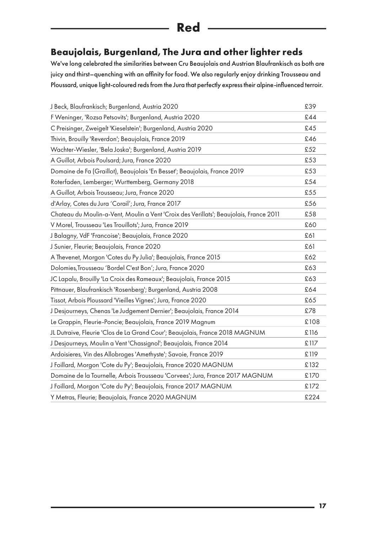## **Red**

#### **Beaujolais, Burgenland, The Jura and other lighter reds**

We've long celebrated the similarities between Cru Beaujolais and Austrian Blaufrankisch as both are juicy and thirst–quenching with an affinity for food. We also regularly enjoy drinking Trousseau and Ploussard, unique light-coloured reds from the Jura that perfectly express their alpine-influenced terroir.

| J Beck, Blaufrankisch; Burgenland, Austria 2020                                        | £39  |
|----------------------------------------------------------------------------------------|------|
| F Weninger, 'Rozsa Petsovits'; Burgenland, Austria 2020                                | £44  |
| C Preisinger, Zweigelt 'Kieselstein'; Burgenland, Austria 2020                         | £45  |
| Thivin, Brouilly 'Reverdon'; Beaujolais, France 2019                                   | £46  |
| Wachter-Wiesler, 'Bela Joska'; Burgenland, Austria 2019                                | £52  |
| A Guillot, Arbois Poulsard; Jura, France 2020                                          | £53  |
| Domaine de Fa (Graillot), Beaujolais 'En Besset'; Beaujolais, France 2019              | £53  |
| Roterfaden, Lemberger; Wurttemberg, Germany 2018                                       | £54  |
| A Guillot, Arbois Trousseau; Jura, France 2020                                         | £55  |
| d'Arlay, Cotes du Jura 'Corail'; Jura, France 2017                                     | £56  |
| Chateau du Moulin-a-Vent, Moulin a Vent 'Croix des Verillats'; Beaujolais, France 2011 | £58  |
| V Morel, Trousseau 'Les Trouillots'; Jura, France 2019                                 | £60  |
| J Balagny, VdF 'Francoise'; Beaujolais, France 2020                                    | £61  |
| J Sunier, Fleurie; Beaujolais, France 2020                                             | £61  |
| A Thevenet, Morgon 'Cotes du Py Julia'; Beaujolais, France 2015                        | £62  |
| Dolomies, Trousseau 'Bordel C'est Bon'; Jura, France 2020                              | £63  |
| JC Lapalu, Brouilly 'La Croix des Rameaux'; Beaujolais, France 2015                    | £63  |
| Pittnauer, Blaufrankisch 'Rosenberg'; Burgenland, Austria 2008                         | £64  |
| Tissot, Arbois Ploussard 'Vieilles Vignes'; Jura, France 2020                          | £65  |
| J Desjourneys, Chenas 'Le Judgement Dernier'; Beaujolais, France 2014                  | £78  |
| Le Grappin, Fleurie-Poncie; Beaujolais, France 2019 Magnum                             | £108 |
| JL Dutraive, Fleurie 'Clos de La Grand Cour'; Beaujolais, France 2018 MAGNUM           | £116 |
| J Desjourneys, Moulin a Vent 'Chassignol'; Beaujolais, France 2014                     | £117 |
| Ardoisieres, Vin des Allobroges 'Amethyste'; Savoie, France 2019                       | £119 |
| J Foillard, Morgon 'Cote du Py'; Beaujolais, France 2020 MAGNUM                        | £132 |
| Domaine de la Tournelle, Arbois Trousseau 'Corvees'; Jura, France 2017 MAGNUM          | £170 |
| J Foillard, Morgon 'Cote du Py'; Beaujolais, France 2017 MAGNUM                        | £172 |
| Y Metras, Fleurie; Beaujolais, France 2020 MAGNUM                                      | £224 |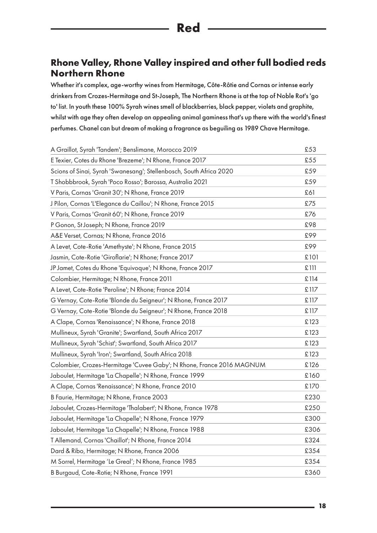#### <span id="page-17-0"></span>**Rhone Valley, Rhone Valley inspired and other full bodied reds Northern Rhone**

Whether it's complex, age-worthy wines from Hermitage, Côte-Rôtie and Cornas or intense early drinkers from Crozes-Hermitage and St-Joseph, The Northern Rhone is at the top of Noble Rot's 'go to' list. In youth these 100% Syrah wines smell of blackberries, black pepper, violets and graphite, whilst with age they often develop an appealing animal gaminess that's up there with the world's finest perfumes. Chanel can but dream of making a fragrance as beguiling as 1989 Chave Hermitage.

| A Graillot, Syrah 'Tandem'; Benslimane, Morocco 2019                  | £53  |
|-----------------------------------------------------------------------|------|
| E Texier, Cotes du Rhone 'Brezeme'; N Rhone, France 2017              | £55  |
| Scions of Sinai, Syrah 'Swanesang'; Stellenbosch, South Africa 2020   | £59  |
| T Shobbbrook, Syrah 'Poco Rosso'; Barossa, Australia 2021             | £59  |
| V Paris, Cornas 'Granit 30'; N Rhone, France 2019                     | £61  |
| J Pilon, Cornas 'L'Elegance du Caillou'; N Rhone, France 2015         | £75  |
| V Paris, Cornas 'Granit 60'; N Rhone, France 2019                     | £76  |
| P Gonon, St Joseph; N Rhone, France 2019                              | £98  |
| A&E Verset, Cornas; N Rhone, France 2016                              | £99  |
| A Levet, Cote-Rotie 'Amethyste'; N Rhone, France 2015                 | £99  |
| Jasmin, Cote-Rotie 'Giroflarie'; N Rhone; France 2017                 | £101 |
| JP Jamet, Cotes du Rhone 'Equivoque'; N Rhone, France 2017            | £111 |
| Colombier, Hermitage; N Rhone, France 2011                            | £114 |
| A Levet, Cote-Rotie 'Peroline'; N Rhone; France 2014                  | £117 |
| G Vernay, Cote-Rotie 'Blonde du Seigneur'; N Rhone, France 2017       | £117 |
| G Vernay, Cote-Rotie 'Blonde du Seigneur'; N Rhone, France 2018       | £117 |
| A Clape, Cornas 'Renaissance'; N Rhone, France 2018                   | £123 |
| Mullineux, Syrah 'Granite'; Swartland, South Africa 2017              | £123 |
| Mullineux, Syrah 'Schist'; Swartland, South Africa 2017               | £123 |
| Mullineux, Syrah 'Iron'; Swartland, South Africa 2018                 | £123 |
| Colombier, Crozes-Hermitage 'Cuvee Gaby'; N Rhone, France 2016 MAGNUM | £126 |
| Jaboulet, Hermitage 'La Chapelle'; N Rhone, France 1999               | £160 |
| A Clape, Cornas 'Renaissance'; N Rhone, France 2010                   | £170 |
| B Faurie, Hermitage; N Rhone, France 2003                             | £230 |
| Jaboulet, Crozes-Hermitage 'Thalabert'; N Rhone, France 1978          | £250 |
| Jaboulet, Hermitage 'La Chapelle'; N Rhone, France 1979               | £300 |
| Jaboulet, Hermitage 'La Chapelle'; N Rhone, France 1988               | £306 |
| T Allemand, Cornas 'Chaillot'; N Rhone, France 2014                   | £324 |
| Dard & Ribo, Hermitage; N Rhone, France 2006                          | £354 |
| M Sorrel, Hermitage 'Le Greal'; N Rhone, France 1985                  | £354 |
| B Burgaud, Cote-Rotie; N Rhone, France 1991                           | £360 |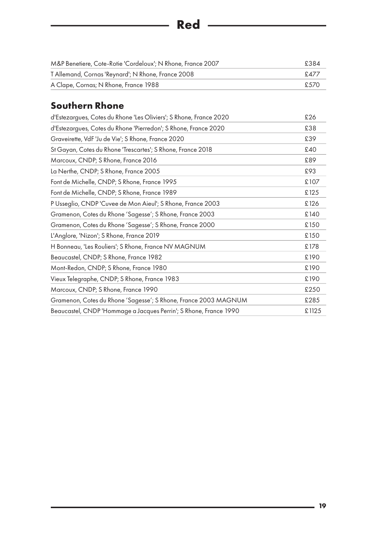<span id="page-18-0"></span>

| M&P Benetiere, Cote-Rotie 'Cordeloux'; N Rhone, France 2007 | £384 |
|-------------------------------------------------------------|------|
| T Allemand, Cornas 'Reynard'; N Rhone, France 2008          | f477 |
| A Clape, Cornas; N Rhone, France 1988                       | £570 |

**Red** ————————————————————

## **Southern Rhone**

| d'Estezargues, Cotes du Rhone 'Les Oliviers'; S Rhone, France 2020 | £26   |
|--------------------------------------------------------------------|-------|
| d'Estezargues, Cotes du Rhone 'Pierredon'; S Rhone, France 2020    | £38   |
| Graveirette, VdF 'Ju de Vie'; S Rhone, France 2020                 | £39   |
| St Gayan, Cotes du Rhone 'Trescartes'; S Rhone, France 2018        | £40   |
| Marcoux, CNDP; S Rhone, France 2016                                | £89   |
| La Nerthe, CNDP; S Rhone, France 2005                              | £93   |
| Font de Michelle, CNDP; S Rhone, France 1995                       | £107  |
| Font de Michelle, CNDP; S Rhone, France 1989                       | £125  |
| P Usseglio, CNDP 'Cuvee de Mon Aieul'; S Rhone, France 2003        | £126  |
| Gramenon, Cotes du Rhone 'Sagesse'; S Rhone, France 2003           | £140  |
| Gramenon, Cotes du Rhone 'Sagesse'; S Rhone, France 2000           | £150  |
| L'Anglore, 'Nizon'; S Rhone, France 2019                           | £150  |
| H Bonneau, 'Les Rouliers'; S Rhone, France NV MAGNUM               | £178  |
| Beaucastel, CNDP; S Rhone, France 1982                             | £190  |
| Mont-Redon, CNDP; S Rhone, France 1980                             | £190  |
| Vieux Telegraphe, CNDP; S Rhone, France 1983                       | £190  |
| Marcoux, CNDP; S Rhone, France 1990                                | £250  |
| Gramenon, Cotes du Rhone 'Sagesse'; S Rhone, France 2003 MAGNUM    | £285  |
| Beaucastel, CNDP 'Hommage a Jacques Perrin'; S Rhone, France 1990  | £1125 |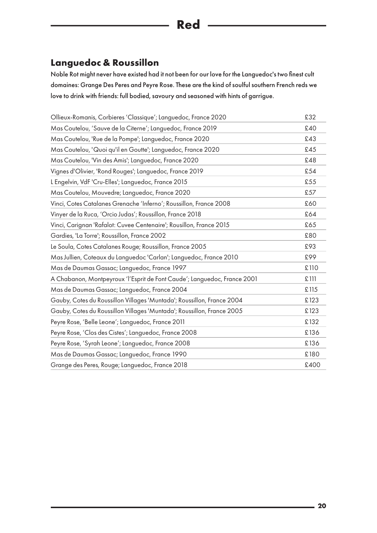### **Languedoc & Roussillon**

Noble Rot might never have existed had it not been for our love for the Languedoc's two finest cult domaines: Grange Des Peres and Peyre Rose. These are the kind of soulful southern French reds we love to drink with friends: full bodied, savoury and seasoned with hints of garrigue.

| Ollieux-Romanis, Corbieres 'Classique'; Languedoc, France 2020           | £32  |
|--------------------------------------------------------------------------|------|
| Mas Coutelou, 'Sauve de la Citerne'; Languedoc, France 2019              | £40  |
| Mas Coutelou, 'Rue de la Pompe'; Languedoc, France 2020                  | £43  |
| Mas Coutelou, 'Quoi qu'il en Goutte'; Languedoc, France 2020             | £45  |
| Mas Coutelou, 'Vin des Amis'; Languedoc, France 2020                     | £48  |
| Vignes d'Olivier, 'Rond Rouges'; Languedoc, France 2019                  | £54  |
| L Engelvin, VdF 'Cru-Elles'; Languedoc, France 2015                      | £55  |
| Mas Coutelou, Mouvedre; Languedoc, France 2020                           | £57  |
| Vinci, Cotes Catalanes Grenache 'Inferno'; Roussillon, France 2008       | £60  |
| Vinyer de la Ruca, 'Orcio Judas'; Roussillon, France 2018                | £64  |
| Vinci, Carignan 'Rafalot: Cuvee Centenaire'; Rousillon, France 2015      | £65  |
| Gardies, 'La Torre'; Roussillon, France 2002                             | £80  |
| Le Soula, Cotes Catalanes Rouge; Roussillon, France 2005                 | £93  |
| Mas Jullien, Coteaux du Languedoc 'Carlan'; Languedoc, France 2010       | £99  |
| Mas de Daumas Gassac; Languedoc, France 1997                             | £110 |
| A Chabanon, Montpeyroux 'l'Esprit de Font Caude'; Languedoc, France 2001 | £111 |
| Mas de Daumas Gassac; Languedoc, France 2004                             | £115 |
| Gauby, Cotes du Roussillon Villages 'Muntada'; Roussillon, France 2004   | £123 |
| Gauby, Cotes du Roussillon Villages 'Muntada'; Roussillon, France 2005   | £123 |
| Peyre Rose, 'Belle Leone'; Languedoc, France 2011                        | £132 |
| Peyre Rose, 'Clos des Cistes'; Languedoc, France 2008                    | £136 |
| Peyre Rose, 'Syrah Leone'; Languedoc, France 2008                        | £136 |
| Mas de Daumas Gassac; Languedoc, France 1990                             | £180 |
| Grange des Peres, Rouge; Languedoc, France 2018                          | £400 |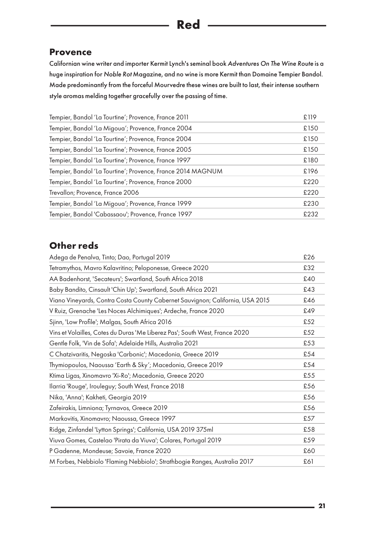#### **Provence**

Californian wine writer and importer Kermit Lynch's seminal book *Adventures On The Wine Route* is a huge inspiration for *Noble Rot* Magazine, and no wine is more Kermit than Domaine Tempier Bandol. Made predominantly from the forceful Mourvedre these wines are built to last, their intense southern style aromas melding together gracefully over the passing of time.

| Tempier, Bandol 'La Tourtine'; Provence, France 2011        | £119 |
|-------------------------------------------------------------|------|
| Tempier, Bandol 'La Migoua'; Provence, France 2004          | £150 |
| Tempier, Bandol 'La Tourtine'; Provence, France 2004        | £150 |
| Tempier, Bandol 'La Tourtine'; Provence, France 2005        | £150 |
| Tempier, Bandol 'La Tourtine'; Provence, France 1997        | £180 |
| Tempier, Bandol 'La Tourtine'; Provence, France 2014 MAGNUM | £196 |
| Tempier, Bandol 'La Tourtine'; Provence, France 2000        | £220 |
| Trevallon; Provence, France 2006                            | £220 |
| Tempier, Bandol 'La Migoua'; Provence, France 1999          | £230 |
| Tempier, Bandol 'Cabassaou'; Provence, France 1997          | £232 |

#### **Other reds**

| Adega de Penalva, Tinto; Dao, Portugal 2019                                   | £26 |
|-------------------------------------------------------------------------------|-----|
| Tetramythos, Mavro Kalavritino; Peloponesse, Greece 2020                      | £32 |
| AA Badenhorst, 'Secateurs'; Swartland, South Africa 2018                      | £40 |
| Baby Bandito, Cinsault 'Chin Up'; Swartland, South Africa 2021                | £43 |
| Viano Vineyards, Contra Costa County Cabernet Sauvignon; California, USA 2015 | £46 |
| V Ruiz, Grenache 'Les Noces Alchimiques'; Ardeche, France 2020                | £49 |
| Sjinn, 'Low Profile'; Malgas, South Africa 2016                               | £52 |
| Vins et Volailles, Cotes du Duras 'Me Liberez Pas'; South West, France 2020   | £52 |
| Gentle Folk, 'Vin de Sofa'; Adelaide Hills, Australia 2021                    | £53 |
| C Chatzivaritis, Negoska 'Carbonic'; Macedonia, Greece 2019                   | £54 |
| Thymiopoulos, Naoussa 'Earth & Sky'; Macedonia, Greece 2019                   | £54 |
| Ktima Ligas, Xinomavro 'Xi-Ro'; Macedonia, Greece 2020                        | £55 |
| Ilarria 'Rouge', Irouleguy; South West, France 2018                           | £56 |
| Nika, 'Anna'; Kakheti, Georgia 2019                                           | £56 |
| Zafeirakis, Limniona; Tyrnavos, Greece 2019                                   | £56 |
| Markovitis, Xinomavro; Naoussa, Greece 1997                                   | £57 |
| Ridge, Zinfandel 'Lytton Springs'; California, USA 2019 375ml                 | £58 |
| Viuva Gomes, Castelao 'Pirata da Viuva'; Colares, Portugal 2019               | £59 |
| P Gadenne, Mondeuse; Savoie, France 2020                                      | £60 |
| M Forbes, Nebbiolo 'Flaming Nebbiolo'; Strathbogie Ranges, Australia 2017     | £61 |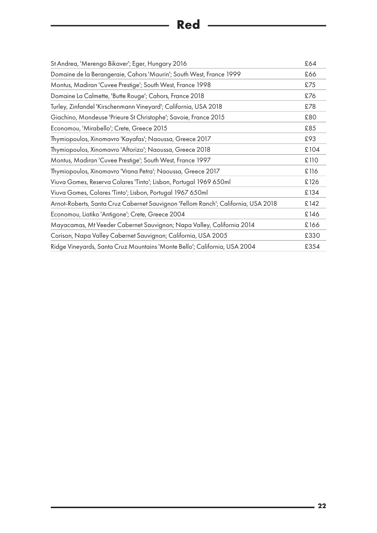## **Red** ————————————————————

| St Andrea, 'Merengo Bikaver'; Eger, Hungary 2016                                  | £64  |
|-----------------------------------------------------------------------------------|------|
| Domaine de la Berangeraie, Cahors 'Maurin'; South West, France 1999               | £66  |
| Montus, Madiran 'Cuvee Prestige'; South West, France 1998                         | £75  |
| Domaine La Calmette, 'Butte Rouge'; Cahors, France 2018                           | £76  |
| Turley, Zinfandel 'Kirschenmann Vineyard'; California, USA 2018                   | £78  |
| Giachino, Mondeuse 'Prieure St Christophe'; Savoie, France 2015                   | £80  |
| Economou, 'Mirabello'; Crete, Greece 2015                                         | £85  |
| Thymiopoulos, Xinomavro 'Kayafas'; Naoussa, Greece 2017                           | £93  |
| Thymiopoulos, Xinomavro 'Aftorizo'; Naoussa, Greece 2018                          | £104 |
| Montus, Madiran 'Cuvee Prestige'; South West, France 1997                         | £110 |
| Thymiopoulos, Xinomavro 'Vrana Petra'; Naoussa, Greece 2017                       | £116 |
| Viuva Gomes, Reserva Colares 'Tinto'; Lisbon, Portugal 1969 650ml                 | £126 |
| Viuva Gomes, Colares 'Tinto'; Lisbon, Portugal 1967 650ml                         | £134 |
| Arnot-Roberts, Santa Cruz Cabernet Sauvignon 'Fellom Ranch'; California, USA 2018 | £142 |
| Economou, Liatiko 'Antigone'; Crete, Greece 2004                                  | £146 |
| Mayacamas, Mt Veeder Cabernet Sauvignon; Napa Valley, California 2014             | £166 |
| Corison, Napa Valley Cabernet Sauvignon; California, USA 2005                     | £330 |
| Ridge Vineyards, Santa Cruz Mountains 'Monte Bello'; California, USA 2004         | £354 |

 $\overline{a}$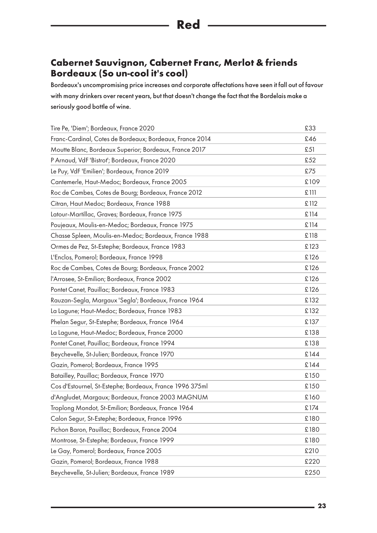#### **Cabernet Sauvignon, Cabernet Franc, Merlot & friends Bordeaux (So un-cool it's cool)**

Bordeaux's uncompromising price increases and corporate affectations have seen it fall out of favour with many drinkers over recent years, but that doesn't change the fact that the Bordelais make a seriously good bottle of wine.

| Tire Pe, 'Diem'; Bordeaux, France 2020                   | £33  |
|----------------------------------------------------------|------|
| Franc-Cardinal, Cotes de Bordeaux; Bordeaux, France 2014 | £46  |
| Moutte Blanc, Bordeaux Superior; Bordeaux, France 2017   | £51  |
| P Arnaud, VdF 'Bistrot'; Bordeaux, France 2020           | £52  |
| Le Puy, VdF 'Emilien'; Bordeaux, France 2019             | £75  |
| Cantemerle, Haut-Medoc; Bordeaux, France 2005            | £109 |
| Roc de Cambes, Cotes de Bourg; Bordeaux, France 2012     | £111 |
| Citran, Haut Medoc; Bordeaux, France 1988                | £112 |
| Latour-Martillac, Graves; Bordeaux, France 1975          | £114 |
| Poujeaux, Moulis-en-Medoc; Bordeaux, France 1975         | £114 |
| Chasse Spleen, Moulis-en-Medoc; Bordeaux, France 1988    | £118 |
| Ormes de Pez, St-Estephe; Bordeaux, France 1983          | £123 |
| L'Enclos, Pomerol; Bordeaux, France 1998                 | £126 |
| Roc de Cambes, Cotes de Bourg; Bordeaux, France 2002     | £126 |
| l'Arrosee, St-Emilion; Bordeaux, France 2002             | £126 |
| Pontet Canet, Pauillac; Bordeaux, France 1983            | £126 |
| Rauzan-Segla, Margaux 'Segla'; Bordeaux, France 1964     | £132 |
| La Lagune; Haut-Medoc; Bordeaux, France 1983             | £132 |
| Phelan Segur, St-Estephe; Bordeaux, France 1964          | £137 |
| La Lagune, Haut-Medoc; Bordeaux, France 2000             | £138 |
| Pontet Canet, Pauillac; Bordeaux, France 1994            | £138 |
| Beychevelle, St-Julien; Bordeaux, France 1970            | £144 |
| Gazin, Pomerol; Bordeaux, France 1995                    | £144 |
| Batailley, Pauillac; Bordeaux, France 1970               | £150 |
| Cos d'Estournel, St-Estephe; Bordeaux, France 1996 375ml | £150 |
| d'Angludet, Margaux; Bordeaux, France 2003 MAGNUM        | £160 |
| Troplong Mondot, St-Emilion; Bordeaux, France 1964       | £174 |
| Calon Segur, St-Estephe; Bordeaux, France 1996           | £180 |
| Pichon Baron, Pauillac; Bordeaux, France 2004            | £180 |
| Montrose, St-Estephe; Bordeaux, France 1999              | £180 |
| Le Gay, Pomerol; Bordeaux, France 2005                   | £210 |
| Gazin, Pomerol; Bordeaux, France 1988                    | £220 |
| Beychevelle, St-Julien; Bordeaux, France 1989            | £250 |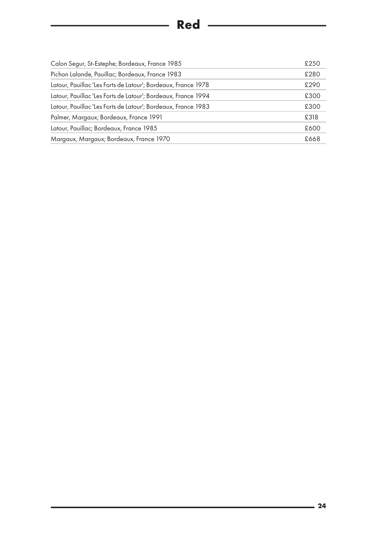## **Red**

| Calon Segur, St-Estephe; Bordeaux, France 1985                | £250 |
|---------------------------------------------------------------|------|
| Pichon Lalande, Pauillac; Bordeaux, France 1983               | £280 |
| Latour, Pauillac 'Les Forts de Latour'; Bordeaux, France 1978 | £290 |
| Latour, Pauillac 'Les Forts de Latour'; Bordeaux, France 1994 | £300 |
| Latour, Pauillac 'Les Forts de Latour'; Bordeaux, France 1983 | £300 |
| Palmer, Margaux; Bordeaux, France 1991                        | £318 |
| Latour, Pauillac; Bordeaux, France 1985                       | £600 |
| Margaux, Margaux; Bordeaux, France 1970                       | £668 |
|                                                               |      |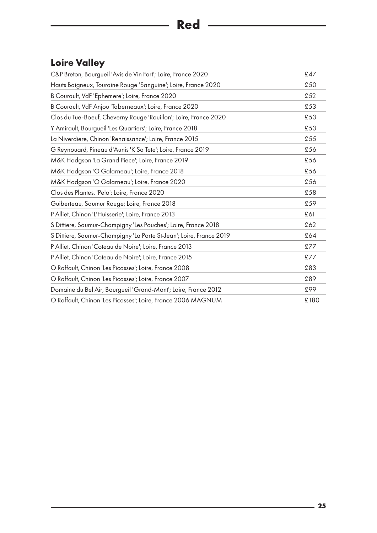## <span id="page-24-0"></span>**Loire Valley**

| C&P Breton, Bourgueil 'Avis de Vin Fort'; Loire, France 2020        | £47  |
|---------------------------------------------------------------------|------|
| Hauts Baigneux, Touraine Rouge 'Sanguine'; Loire, France 2020       | £50  |
| B Courault, VdF 'Ephemere'; Loire, France 2020                      | £52  |
| B Courault, VdF Anjou 'Taberneaux'; Loire, France 2020              | £53  |
| Clos du Tue-Boeuf, Cheverny Rouge 'Rouillon'; Loire, France 2020    | £53  |
| Y Amirault, Bourgueil 'Les Quartiers'; Loire, France 2018           | £53  |
| La Niverdiere, Chinon 'Renaissance'; Loire, France 2015             | £55  |
| G Reynouard, Pineau d'Aunis 'K Sa Tete'; Loire, France 2019         | £56  |
| M&K Hodgson 'La Grand Piece'; Loire, France 2019                    | £56  |
| M&K Hodgson 'O Galarneau'; Loire, France 2018                       | £56  |
| M&K Hodgson 'O Galarneau'; Loire, France 2020                       | £56  |
| Clos des Plantes, 'Pelo'; Loire, France 2020                        | £58  |
| Guiberteau, Saumur Rouge; Loire, France 2018                        | £59  |
| P Alliet, Chinon 'L'Huisserie'; Loire, France 2013                  | £61  |
| S Dittiere, Saumur-Champigny 'Les Pouches'; Loire, France 2018      | £62  |
| S Dittiere, Saumur-Champigny 'La Porte St-Jean'; Loire, France 2019 | £64  |
| P Alliet, Chinon 'Coteau de Noire'; Loire, France 2013              | £77  |
| P Alliet, Chinon 'Coteau de Noire'; Loire, France 2015              | £77  |
| O Raffault, Chinon 'Les Picasses'; Loire, France 2008               | £83  |
| O Raffault, Chinon 'Les Picasses'; Loire, France 2007               | £89  |
| Domaine du Bel Air, Bourgueil 'Grand-Mont'; Loire, France 2012      | £99  |
| O Raffault, Chinon 'Les Picasses'; Loire, France 2006 MAGNUM        | £180 |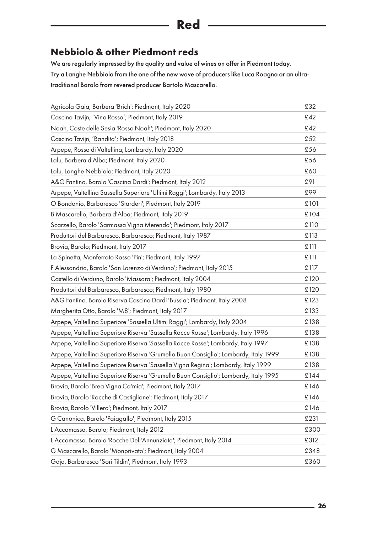### **Red**

#### <span id="page-25-0"></span>**Nebbiolo & other Piedmont reds**

We are regularly impressed by the quality and value of wines on offer in Piedmont today. Try a Langhe Nebbiolo from the one of the new wave of producers like Luca Roagna or an ultratraditional Barolo from revered producer Bartolo Mascarello.

| Agricola Gaia, Barbera 'Brich'; Piedmont, Italy 2020                                 | £32  |
|--------------------------------------------------------------------------------------|------|
| Cascina Tavijn, 'Vino Rosso'; Piedmont, Italy 2019                                   | £42  |
| Noah, Coste delle Sesia 'Rosso Noah'; Piedmont, Italy 2020                           | £42  |
| Cascina Tavijn, 'Bandita'; Piedmont, Italy 2018                                      | £52  |
| Arpepe, Rosso di Valtellina; Lombardy, Italy 2020                                    | £56  |
| Lalu, Barbera d'Alba; Piedmont, Italy 2020                                           | £56  |
| Lalu, Langhe Nebbiolo; Piedmont, Italy 2020                                          | £60  |
| A&G Fantino, Barolo 'Cascina Dardi'; Piedmont, Italy 2012                            | £91  |
| Arpepe, Valtellina Sassella Superiore 'Ultimi Raggi'; Lombardy, Italy 2013           | £99  |
| O Bondonio, Barbaresco 'Starderi'; Piedmont, Italy 2019                              | £101 |
| B Mascarello, Barbera d'Alba; Piedmont, Italy 2019                                   | £104 |
| Scarzello, Barolo 'Sarmassa Vigna Merenda'; Piedmont, Italy 2017                     | £110 |
| Produttori del Barbaresco, Barbaresco; Piedmont, Italy 1987                          | £113 |
| Brovia, Barolo; Piedmont, Italy 2017                                                 | £111 |
| La Spinetta, Monferrato Rosso 'Pin'; Piedmont, Italy 1997                            | £111 |
| F Alessandria, Barolo 'San Lorenzo di Verduno'; Piedmont, Italy 2015                 | £117 |
| Castello di Verduno, Barolo 'Massara'; Piedmont, Italy 2004                          | £120 |
| Produttori del Barbaresco, Barbaresco; Piedmont, Italy 1980                          | £120 |
| A&G Fantino, Barolo Riserva Cascina Dardi 'Bussia'; Piedmont, Italy 2008             | £123 |
| Margherita Otto, Barolo 'M8'; Piedmont, Italy 2017                                   | £133 |
| Arpepe, Valtellina Superiore 'Sassella Ultimi Raggi'; Lombardy, Italy 2004           | £138 |
| Arpepe, Valtellina Superiore Riserva 'Sassella Rocce Rosse'; Lombardy, Italy 1996    | £138 |
| Arpepe, Valtellina Superiore Riserva 'Sassella Rocce Rosse'; Lombardy, Italy 1997    | £138 |
| Arpepe, Valtellina Superiore Riserva 'Grumello Buon Consiglio'; Lombardy, Italy 1999 | £138 |
| Arpepe, Valtellina Superiore Riserva 'Sassella Vigna Regina'; Lombardy, Italy 1999   | £138 |
| Arpepe, Valtellina Superiore Riserva 'Grumello Buon Consiglio'; Lombardy, Italy 1995 | £144 |
| Brovia, Barolo 'Brea Vigna Ca'mia'; Piedmont, Italy 2017                             | £146 |
| Brovia, Barolo 'Rocche di Castiglione'; Piedmont, Italy 2017                         | £146 |
| Brovia, Barolo 'Villero'; Piedmont, Italy 2017                                       | £146 |
| G Canonica, Barolo 'Paiagallo'; Piedmont, Italy 2015                                 | £231 |
| L Accomasso, Barolo; Piedmont, Italy 2012                                            | £300 |
| L Accomasso, Barolo 'Rocche Dell'Annunziata'; Piedmont, Italy 2014                   | £312 |
| G Mascarello, Barolo 'Monprivato'; Piedmont, Italy 2004                              | £348 |
| Gaja, Barbaresco 'Sori Tildin'; Piedmont, Italy 1993                                 | £360 |
|                                                                                      |      |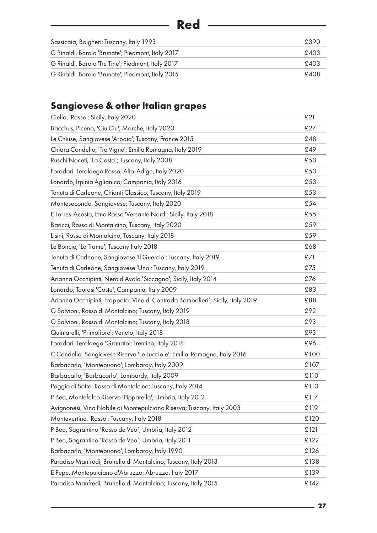<span id="page-26-0"></span>

| <b>Red</b>                                                 |  |
|------------------------------------------------------------|--|
|                                                            |  |
| Sassicaia, Bolgheri; Tuscany, Italy 1993<br>£390           |  |
| G Rinaldi, Barolo 'Brunate'; Piedmont, Italy 2017<br>£403  |  |
| G Rinaldi, Barolo 'Tre Tine'; Piedmont, Italy 2017<br>£403 |  |
| G Rinaldi, Barolo 'Brunate'; Piedmont, Italy 2015<br>£408  |  |

## **Sangiovese & other Italian grapes**

| Ciello, 'Rosso'; Sicily, Italy 2020                                            | £21  |
|--------------------------------------------------------------------------------|------|
| Bacchus, Piceno, 'Ciu Ciu'; Marche, Italy 2020                                 | £27  |
| Le Chiuse, Sangiovese 'Arpaia'; Tuscany, France 2015                           | £48  |
| Chiara Condello, 'Tre Vigne'; Emilia Romagna, Italy 2019                       | £49  |
| Ruschi Noceti, 'La Costa'; Tuscany, Italy 2008                                 | £53  |
| Foradori, Teroldego Rosso; Alto-Adige, Italy 2020                              | £53  |
| Lonardo, Irpinia Aglianico; Campania, Italy 2016                               | £53  |
| Tenuta di Carleone, Chianti Classico; Tuscany, Italy 2019                      | £53  |
| Montesecondo, Sangiovese; Tuscany, Italy 2020                                  | £54  |
| E Torres-Acosta, Etna Rosso 'Versante Nord'; Sicily, Italy 2018                | £55  |
| Baricci, Rosso di Montalcino; Tuscany, Italy 2020                              | £59  |
| Lisini, Rosso di Montalcino; Tuscany, Italy 2018                               | £59  |
| Le Boncie, 'Le Trame'; Tuscany Italy 2018                                      | £68  |
| Tenuta di Carleone, Sangiovese 'Il Guercio'; Tuscany, Italy 2019               | £71  |
| Tenuta di Carleone, Sangiovese 'Uno'; Tuscany, Italy 2019                      | £75  |
| Arianna Occhipinti, Nero d'Avola 'Siccagno'; Sicily, Italy 2014                | £76  |
| Lonardo, Taurasi 'Coste'; Campania, Italy 2009                                 | £83  |
| Arianna Occhipinti, Frappato 'Vino di Contrada Bombolieri'; Sicily, Italy 2019 | £88  |
| G Salvioni, Rosso di Montalcino; Tuscany, Italy 2019                           | £92  |
| G Salvioni, Rosso di Montalcino; Tuscany, Italy 2018                           | £93  |
| Quintarelli, 'Primofiore'; Veneto, Italy 2018                                  | £93  |
| Foradori, Teroldego 'Granato'; Trentino, Italy 2018                            | £96  |
| C Condello, Sangiovese Riserva 'Le Lucciole'; Emilia-Romagna, Italy 2016       | £100 |
| Barbacarlo, 'Montebuono'; Lombardy, Italy 2009                                 | £107 |
| Barbacarlo, 'Barbacarlo'; Lombardy, Italy 2009                                 | £110 |
| Poggio di Sotto, Rosso di Montalcino; Tuscany, Italy 2014                      | £110 |
| P Bea, Montefalco Riserva 'Pipparello'; Umbria, Italy 2012                     | £117 |
| Avignonesi, Vino Nobile di Montepulciano Riserva; Tuscany, Italy 2003          | £119 |
| Montevertine, 'Rosso'; Tuscany, Italy 2018                                     | £120 |
| P Bea, Sagrantino 'Rosso de Veo'; Umbria, Italy 2012                           | £121 |
| P Bea, Sagrantino 'Rosso de Veo'; Umbria, Italy 2011                           | £122 |
| Barbacarlo, 'Montebuono'; Lombardy, Italy 1990                                 | £126 |
| Paradiso Manfredi, Brunello di Montalcino; Tuscany, Italy 2013                 | £138 |
| E Pepe, Montepulciano d'Abruzzo; Abruzzo, Italy 2017                           | £139 |
| Paradiso Manfredi, Brunello di Montalcino; Tuscany, Italy 2015                 | £142 |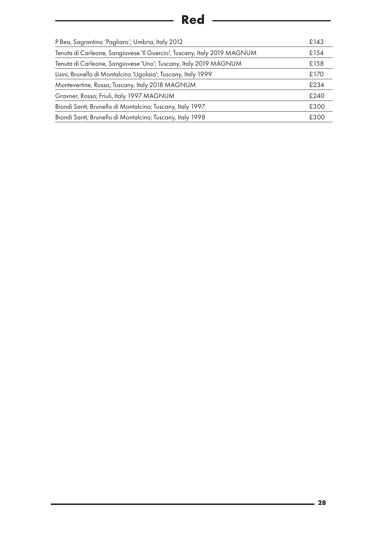# **Red**

| P Bea, Sagrantino 'Pagliaro'; Umbria, Italy 2012                        | £143 |
|-------------------------------------------------------------------------|------|
| Tenuta di Carleone, Sangiovese 'Il Guercio'; Tuscany, Italy 2019 MAGNUM | £154 |
| Tenuta di Carleone, Sangiovese 'Uno'; Tuscany, Italy 2019 MAGNUM        | £158 |
| Lisini, Brunello di Montalcino 'Ugolaia'; Tuscany, Italy 1999           | £170 |
| Montevertine, Rosso; Tuscany, Italy 2018 MAGNUM                         | £234 |
| Gravner, Rosso; Friuli, Italy 1997 MAGNUM                               | £240 |
| Biondi Santi; Brunello di Montalcino; Tuscany, Italy 1997               | £300 |
| Biondi Santi; Brunello di Montalcino; Tuscany, Italy 1998               | £300 |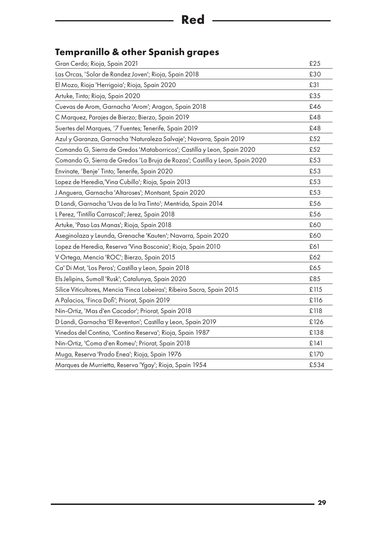# **Red** Red

## **Tempranillo & other Spanish grapes**

| Gran Cerdo; Rioja, Spain 2021                                                | £25  |
|------------------------------------------------------------------------------|------|
| Las Orcas, 'Solar de Randez Joven'; Rioja, Spain 2018                        | £30  |
| El Mozo, Rioja 'Herrigoia'; Rioja, Spain 2020                                | £31  |
| Artuke, Tinto; Rioja, Spain 2020                                             | £35  |
| Cuevas de Arom, Garnacha 'Arom'; Aragon, Spain 2018                          | £46  |
| C Marquez, Parajes de Bierzo; Bierzo, Spain 2019                             | £48  |
| Suertes del Marques, '7 Fuentes; Tenerife, Spain 2019                        | £48  |
| Azul y Garanza, Garnacha 'Naturaleza Salvaje'; Navarra, Spain 2019           | £52  |
| Comando G, Sierra de Gredos 'Mataborricos'; Castilla y Leon, Spain 2020      | £52  |
| Comando G, Sierra de Gredos 'La Bruja de Rozas'; Castilla y Leon, Spain 2020 | £53  |
| Envinate, 'Benje' Tinto; Tenerife, Spain 2020                                | £53  |
| Lopez de Heredia, 'Vina Cubillo'; Rioja, Spain 2013                          | £53  |
| J Anguera, Garnacha 'Altaroses'; Montsant, Spain 2020                        | £53  |
| D Landi, Garnacha 'Uvas de la Ira Tinto'; Mentrida, Spain 2014               | £56  |
| L Perez, 'Tintilla Carrascal'; Jerez, Spain 2018                             | £56  |
| Artuke, 'Paso Las Manas'; Rioja, Spain 2018                                  | £60  |
| Aseginolaza y Leunda, Grenache 'Kauten'; Navarra, Spain 2020                 | £60  |
| Lopez de Heredia, Reserva 'Vina Bosconia'; Rioja, Spain 2010                 | £61  |
| V Ortega, Mencia 'ROC'; Bierzo, Spain 2015                                   | £62  |
| Ca' Di Mat, 'Los Peros'; Castilla y Leon, Spain 2018                         | £65  |
| Els Jelipins, Sumoll 'Rusk'; Catalunya, Spain 2020                           | £85  |
| Silice Viticultores, Mencia 'Finca Lobeiras'; Ribeira Sacra, Spain 2015      | £115 |
| A Palacios, 'Finca Dofi'; Priorat, Spain 2019                                | £116 |
| Nin-Ortiz, 'Mas d'en Cacador'; Priorat, Spain 2018                           | £118 |
| D Landi, Garnacha 'El Reventon'; Castilla y Leon, Spain 2019                 | £126 |
| Vinedos del Contino, 'Contino Reserva'; Rioja, Spain 1987                    | £138 |
| Nin-Ortiz, 'Coma d'en Romeu'; Priorat, Spain 2018                            | £141 |
| Muga, Reserva 'Prado Enea'; Rioja, Spain 1976                                | £170 |
| Marques de Murrietta, Reserva 'Ygay'; Rioja, Spain 1954                      | £534 |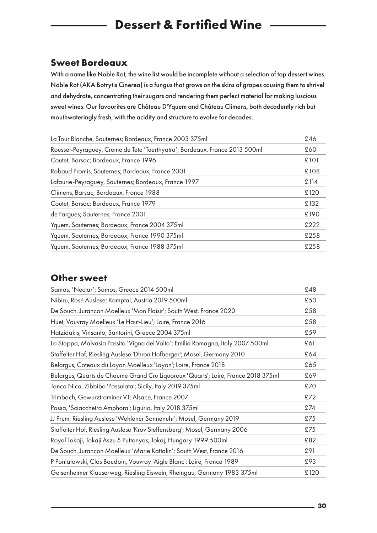## <span id="page-29-0"></span>**Dessert & Fortified Wine**

#### **Sweet Bordeaux**

With a name like Noble Rot, the wine list would be incomplete without a selection of top dessert wines. Noble Rot (AKA Botrytis Cinerea) is a fungus that grows on the skins of grapes causing them to shrivel and dehydrate, concentrating their sugars and rendering them perfect material for making luscious sweet wines. Our favourites are Château D'Yquem and Château Climens, both decadently rich but mouthwateringly fresh, with the acidity and structure to evolve for decades.

| La Tour Blanche, Sauternes; Bordeaux, France 2003 375ml                     | £46  |
|-----------------------------------------------------------------------------|------|
| Rousset-Peyraguey, Creme de Tete 'Teerthyatra'; Bordeaux, France 2013 500ml | £60  |
| Coutet, Barsac; Bordeaux, France 1996                                       | £101 |
| Rabaud Promis, Sauternes; Bordeaux, France 2001                             | £108 |
| Lafaurie-Peyraguey, Sauternes; Bordeaux, France 1997                        | £114 |
| Climens, Barsac; Bordeaux, France 1988                                      | £120 |
| Coutet, Barsac; Bordeaux, France 1979                                       | £132 |
| de Fargues; Sauternes, France 2001                                          | £190 |
| Yquem, Sauternes; Bordeaux, France 2004 375ml                               | £222 |
| Yquem, Sauternes; Bordeaux, France 1990 375ml                               | £258 |
| Yquem, Sauternes; Bordeaux, France 1988 375ml                               | £258 |

#### **Other sweet**

| Samos, 'Nectar'; Samos, Greece 2014 500ml                                         | £48  |
|-----------------------------------------------------------------------------------|------|
| Nibiru, Rosé Auslese; Kamptal, Austria 2019 500ml                                 | £53  |
| De Souch, Jurancon Moelleux 'Mon Plaisir'; South West, France 2020                | £58  |
| Huet, Vouvray Moelleux 'Le Haut-Lieu'; Loire, France 2016                         | £58  |
| Hatzidakis, Vinsanto; Santorini, Greece 2004 375ml                                | £59  |
| La Stoppa, Malvasia Passito 'Vigna del Volta'; Emilia Romagna, Italy 2007 500ml   | £61  |
| Staffelter Hof, Riesling Auslese 'Dhron Hofberger'; Mosel, Germany 2010           | £64  |
| Belargus, Coteaux du Layon Moelleux 'Layon'; Loire, France 2018                   | £65  |
| Belargus, Quarts de Chaume Grand Cru Liquoreux 'Quarts'; Loire, France 2018 375ml | £69  |
| Tanca Nica, Zibbibo 'Passulata'; Sicily, Italy 2019 375ml                         | £70  |
| Trimbach, Gewurztraminer VT; Alsace, France 2007                                  | £72  |
| Possa, 'Sciacchetra Amphora'; Liguria, Italy 2018 375ml                           | £74  |
| JJ Prum, Riesling Auslese 'Wehlener Sonnenuhr'; Mosel, Germany 2019               | £75  |
| Staffelter Hof, Riesling Auslese 'Krov Steffensberg'; Mosel, Germany 2006         | £75  |
| Royal Tokaji, Tokaji Aszu 5 Puttonyas; Tokaj, Hungary 1999 500ml                  | £82  |
| De Souch, Jurancon Moelleux 'Marie Kattalin'; South West, France 2016             | £91  |
| P Poniatowski, Clos Baudoin, Vouvray 'Aigle Blanc'; Loire, France 1989            | £93  |
| Geisenheimer Klauserweg, Riesling Eiswein; Rheingau, Germany 1983 375ml           | £120 |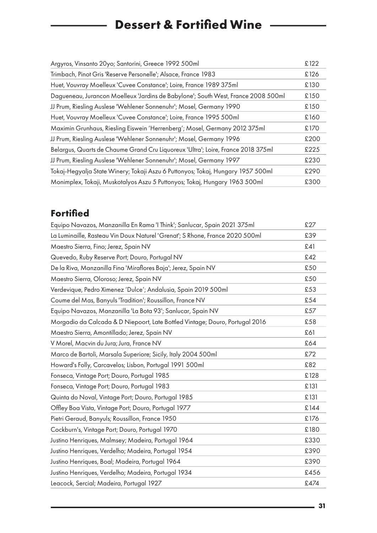# **Dessert & Fortified Wine**

| Argyros, Vinsanto 20yo; Santorini, Greece 1992 500ml                              | £122 |
|-----------------------------------------------------------------------------------|------|
| Trimbach, Pinot Gris 'Reserve Personelle'; Alsace, France 1983                    | £126 |
| Huet, Vouvray Moelleux 'Cuvee Constance'; Loire, France 1989 375ml                | £130 |
| Dagueneau, Jurancon Moelleux 'Jardins de Babylone'; South West, France 2008 500ml | £150 |
| JJ Prum, Riesling Auslese 'Wehlener Sonnenuhr'; Mosel, Germany 1990               | £150 |
| Huet, Vouvray Moelleux 'Cuvee Constance'; Loire, France 1995 500ml                | £160 |
| Maximin Grunhaus, Riesling Eiswein 'Herrenberg'; Mosel, Germany 2012 375ml        | £170 |
| JJ Prum, Riesling Auslese 'Wehlener Sonnenuhr'; Mosel, Germany 1996               | £200 |
| Belargus, Quarts de Chaume Grand Cru Liquoreux 'Ultra'; Loire, France 2018 375ml  | £225 |
| JJ Prum, Riesling Auslese 'Wehlener Sonnenuhr'; Mosel, Germany 1997               | £230 |
| Tokaj-Hegyalja State Winery; Tokaji Aszu 6 Puttonyos; Tokaj, Hungary 1957 500ml   | £290 |
| Monimplex, Tokaji, Muskotalyos Aszu 5 Puttonyos; Tokaj, Hungary 1963 500ml        | £300 |
|                                                                                   |      |

### **Fortified**

 $\overline{\phantom{a}}$ 

| Equipo Navazos, Manzanilla En Rama 'I Think'; Sanlucar, Spain 2021 375ml     | £27  |
|------------------------------------------------------------------------------|------|
| La Luminaille, Rasteau Vin Doux Naturel 'Grenat'; S Rhone, France 2020 500ml | £39  |
| Maestro Sierra, Fino; Jerez, Spain NV                                        | £41  |
| Quevedo, Ruby Reserve Port; Douro, Portugal NV                               | £42  |
| De la Riva, Manzanilla Fina 'Miraflores Baja'; Jerez, Spain NV               | £50  |
| Maestro Sierra, Oloroso; Jerez, Spain NV                                     | £50  |
| Verdevique, Pedro Ximenez 'Dulce'; Andalusia, Spain 2019 500ml               | £53  |
| Coume del Mas, Banyuls 'Tradition'; Roussillon, France NV                    | £54  |
| Equipo Navazos, Manzanilla 'La Bota 93'; Sanlucar, Spain NV                  | £57  |
| Morgadio da Calcada & D Niepoort, Late Bottled Vintage; Douro, Portugal 2016 | £58  |
| Maestro Sierra, Amontillado; Jerez, Spain NV                                 | £61  |
| V Morel, Macvin du Jura; Jura, France NV                                     | £64  |
| Marco de Bartoli, Marsala Superiore; Sicily, Italy 2004 500ml                | £72  |
| Howard's Folly, Carcavelos; Lisbon, Portugal 1991 500ml                      | £82  |
| Fonseca, Vintage Port; Douro, Portugal 1985                                  | £128 |
| Fonseca, Vintage Port; Douro, Portugal 1983                                  | £131 |
| Quinta do Noval, Vintage Port; Douro, Portugal 1985                          | £131 |
| Offley Boa Vista, Vintage Port; Douro, Portugal 1977                         | £144 |
| Pietri Geraud, Banyuls; Roussillon, France 1950                              | £176 |
| Cockburn's, Vintage Port; Douro, Portugal 1970                               | £180 |
| Justino Henriques, Malmsey; Madeira, Portugal 1964                           | £330 |
| Justino Henriques, Verdelho; Madeira, Portugal 1954                          | £390 |
| Justino Henriques, Boal; Madeira, Portugal 1964                              | £390 |
| Justino Henriques, Verdelho; Madeira, Portugal 1934                          | £456 |
| Leacock, Sercial; Madeira, Portugal 1927                                     | £474 |